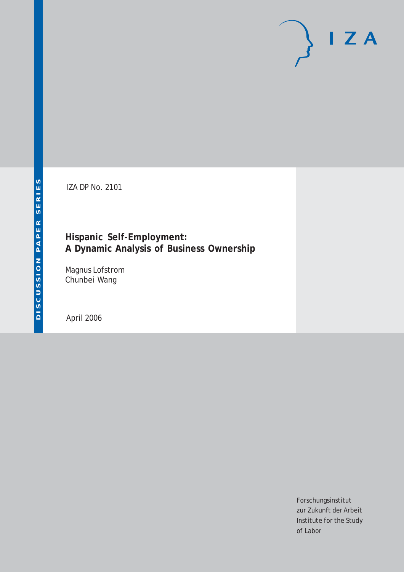# $I Z A$

IZA DP No. 2101

# **Hispanic Self-Employment: A Dynamic Analysis of Business Ownership**

Magnus Lofstrom Chunbei Wang

April 2006

Forschungsinstitut zur Zukunft der Arbeit Institute for the Study of Labor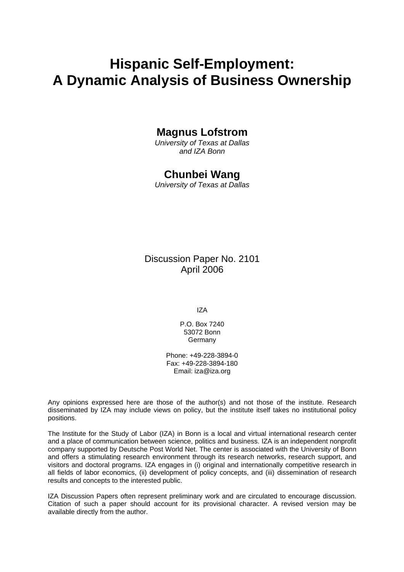# **Hispanic Self-Employment: A Dynamic Analysis of Business Ownership**

# **Magnus Lofstrom**

*University of Texas at Dallas and IZA Bonn* 

## **Chunbei Wang**

*University of Texas at Dallas* 

Discussion Paper No. 2101 April 2006

IZA

P.O. Box 7240 53072 Bonn Germany

Phone: +49-228-3894-0 Fax: +49-228-3894-180 Email: [iza@iza.org](mailto:iza@iza.org)

Any opinions expressed here are those of the author(s) and not those of the institute. Research disseminated by IZA may include views on policy, but the institute itself takes no institutional policy positions.

The Institute for the Study of Labor (IZA) in Bonn is a local and virtual international research center and a place of communication between science, politics and business. IZA is an independent nonprofit company supported by Deutsche Post World Net. The center is associated with the University of Bonn and offers a stimulating research environment through its research networks, research support, and visitors and doctoral programs. IZA engages in (i) original and internationally competitive research in all fields of labor economics, (ii) development of policy concepts, and (iii) dissemination of research results and concepts to the interested public.

IZA Discussion Papers often represent preliminary work and are circulated to encourage discussion. Citation of such a paper should account for its provisional character. A revised version may be available directly from the author.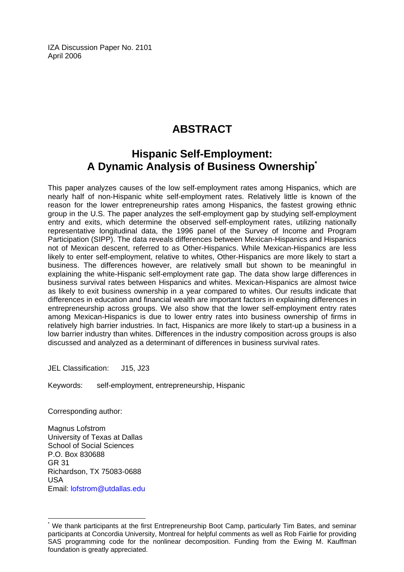IZA Discussion Paper No. 2101 April 2006

# **ABSTRACT**

# **Hispanic Self-Employment: A Dynamic Analysis of Business Ownership[\\*](#page-2-0)**

This paper analyzes causes of the low self-employment rates among Hispanics, which are nearly half of non-Hispanic white self-employment rates. Relatively little is known of the reason for the lower entrepreneurship rates among Hispanics, the fastest growing ethnic group in the U.S. The paper analyzes the self-employment gap by studying self-employment entry and exits, which determine the observed self-employment rates, utilizing nationally representative longitudinal data, the 1996 panel of the Survey of Income and Program Participation (SIPP). The data reveals differences between Mexican-Hispanics and Hispanics not of Mexican descent, referred to as Other-Hispanics. While Mexican-Hispanics are less likely to enter self-employment, relative to whites, Other-Hispanics are more likely to start a business. The differences however, are relatively small but shown to be meaningful in explaining the white-Hispanic self-employment rate gap. The data show large differences in business survival rates between Hispanics and whites. Mexican-Hispanics are almost twice as likely to exit business ownership in a year compared to whites. Our results indicate that differences in education and financial wealth are important factors in explaining differences in entrepreneurship across groups. We also show that the lower self-employment entry rates among Mexican-Hispanics is due to lower entry rates into business ownership of firms in relatively high barrier industries. In fact, Hispanics are more likely to start-up a business in a low barrier industry than whites. Differences in the industry composition across groups is also discussed and analyzed as a determinant of differences in business survival rates.

JEL Classification: J15, J23

Keywords: self-employment, entrepreneurship, Hispanic

Corresponding author:

 $\overline{a}$ 

Magnus Lofstrom University of Texas at Dallas School of Social Sciences P.O. Box 830688 GR 31 Richardson, TX 75083-0688 USA Email: [lofstrom@utdallas.edu](mailto:lofstrom@utdallas.edu) 

<span id="page-2-0"></span><sup>\*</sup> We thank participants at the first Entrepreneurship Boot Camp, particularly Tim Bates, and seminar participants at Concordia University, Montreal for helpful comments as well as Rob Fairlie for providing SAS programming code for the nonlinear decomposition. Funding from the Ewing M. Kauffman foundation is greatly appreciated.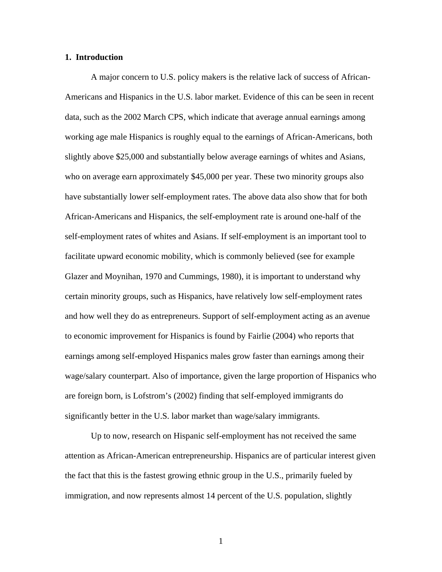#### **1. Introduction**

A major concern to U.S. policy makers is the relative lack of success of African-Americans and Hispanics in the U.S. labor market. Evidence of this can be seen in recent data, such as the 2002 March CPS, which indicate that average annual earnings among working age male Hispanics is roughly equal to the earnings of African-Americans, both slightly above \$25,000 and substantially below average earnings of whites and Asians, who on average earn approximately \$45,000 per year. These two minority groups also have substantially lower self-employment rates. The above data also show that for both African-Americans and Hispanics, the self-employment rate is around one-half of the self-employment rates of whites and Asians. If self-employment is an important tool to facilitate upward economic mobility, which is commonly believed (see for example Glazer and Moynihan, 1970 and Cummings, 1980), it is important to understand why certain minority groups, such as Hispanics, have relatively low self-employment rates and how well they do as entrepreneurs. Support of self-employment acting as an avenue to economic improvement for Hispanics is found by Fairlie (2004) who reports that earnings among self-employed Hispanics males grow faster than earnings among their wage/salary counterpart. Also of importance, given the large proportion of Hispanics who are foreign born, is Lofstrom's (2002) finding that self-employed immigrants do significantly better in the U.S. labor market than wage/salary immigrants.

Up to now, research on Hispanic self-employment has not received the same attention as African-American entrepreneurship. Hispanics are of particular interest given the fact that this is the fastest growing ethnic group in the U.S., primarily fueled by immigration, and now represents almost 14 percent of the U.S. population, slightly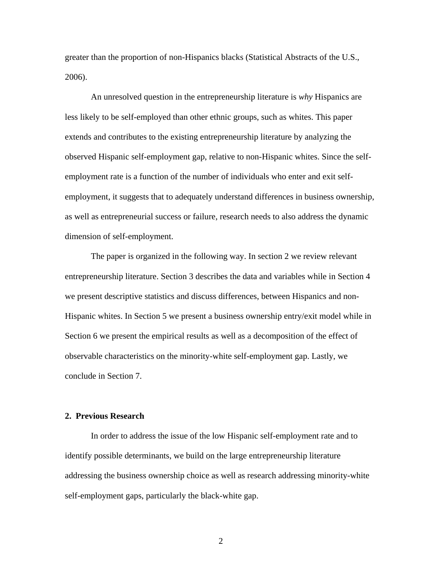greater than the proportion of non-Hispanics blacks (Statistical Abstracts of the U.S., 2006).

An unresolved question in the entrepreneurship literature is *why* Hispanics are less likely to be self-employed than other ethnic groups, such as whites. This paper extends and contributes to the existing entrepreneurship literature by analyzing the observed Hispanic self-employment gap, relative to non-Hispanic whites. Since the selfemployment rate is a function of the number of individuals who enter and exit selfemployment, it suggests that to adequately understand differences in business ownership, as well as entrepreneurial success or failure, research needs to also address the dynamic dimension of self-employment.

The paper is organized in the following way. In section 2 we review relevant entrepreneurship literature. Section 3 describes the data and variables while in Section 4 we present descriptive statistics and discuss differences, between Hispanics and non-Hispanic whites. In Section 5 we present a business ownership entry/exit model while in Section 6 we present the empirical results as well as a decomposition of the effect of observable characteristics on the minority-white self-employment gap. Lastly, we conclude in Section 7.

#### **2. Previous Research**

In order to address the issue of the low Hispanic self-employment rate and to identify possible determinants, we build on the large entrepreneurship literature addressing the business ownership choice as well as research addressing minority-white self-employment gaps, particularly the black-white gap.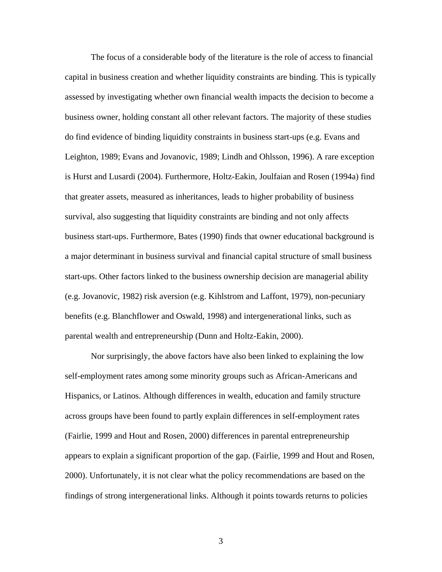The focus of a considerable body of the literature is the role of access to financial capital in business creation and whether liquidity constraints are binding. This is typically assessed by investigating whether own financial wealth impacts the decision to become a business owner, holding constant all other relevant factors. The majority of these studies do find evidence of binding liquidity constraints in business start-ups (e.g. Evans and Leighton, 1989; Evans and Jovanovic, 1989; Lindh and Ohlsson, 1996). A rare exception is Hurst and Lusardi (2004). Furthermore, Holtz-Eakin, Joulfaian and Rosen (1994a) find that greater assets, measured as inheritances, leads to higher probability of business survival, also suggesting that liquidity constraints are binding and not only affects business start-ups. Furthermore, Bates (1990) finds that owner educational background is a major determinant in business survival and financial capital structure of small business start-ups. Other factors linked to the business ownership decision are managerial ability (e.g. Jovanovic, 1982) risk aversion (e.g. Kihlstrom and Laffont, 1979), non-pecuniary benefits (e.g. Blanchflower and Oswald, 1998) and intergenerational links, such as parental wealth and entrepreneurship (Dunn and Holtz-Eakin, 2000).

Nor surprisingly, the above factors have also been linked to explaining the low self-employment rates among some minority groups such as African-Americans and Hispanics, or Latinos. Although differences in wealth, education and family structure across groups have been found to partly explain differences in self-employment rates (Fairlie, 1999 and Hout and Rosen, 2000) differences in parental entrepreneurship appears to explain a significant proportion of the gap. (Fairlie, 1999 and Hout and Rosen, 2000). Unfortunately, it is not clear what the policy recommendations are based on the findings of strong intergenerational links. Although it points towards returns to policies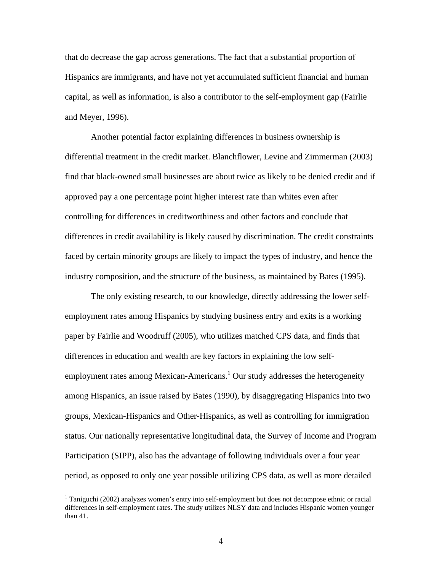that do decrease the gap across generations. The fact that a substantial proportion of Hispanics are immigrants, and have not yet accumulated sufficient financial and human capital, as well as information, is also a contributor to the self-employment gap (Fairlie and Meyer, 1996).

Another potential factor explaining differences in business ownership is differential treatment in the credit market. Blanchflower, Levine and Zimmerman (2003) find that black-owned small businesses are about twice as likely to be denied credit and if approved pay a one percentage point higher interest rate than whites even after controlling for differences in creditworthiness and other factors and conclude that differences in credit availability is likely caused by discrimination. The credit constraints faced by certain minority groups are likely to impact the types of industry, and hence the industry composition, and the structure of the business, as maintained by Bates (1995).

The only existing research, to our knowledge, directly addressing the lower selfemployment rates among Hispanics by studying business entry and exits is a working paper by Fairlie and Woodruff (2005), who utilizes matched CPS data, and finds that differences in education and wealth are key factors in explaining the low selfemployment rates among Mexican-Americans.<sup>1</sup> Our study addresses the heterogeneity among Hispanics, an issue raised by Bates (1990), by disaggregating Hispanics into two groups, Mexican-Hispanics and Other-Hispanics, as well as controlling for immigration status. Our nationally representative longitudinal data, the Survey of Income and Program Participation (SIPP), also has the advantage of following individuals over a four year period, as opposed to only one year possible utilizing CPS data, as well as more detailed

<sup>&</sup>lt;sup>1</sup> Taniguchi (2002) analyzes women's entry into self-employment but does not decompose ethnic or racial differences in self-employment rates. The study utilizes NLSY data and includes Hispanic women younger than 41.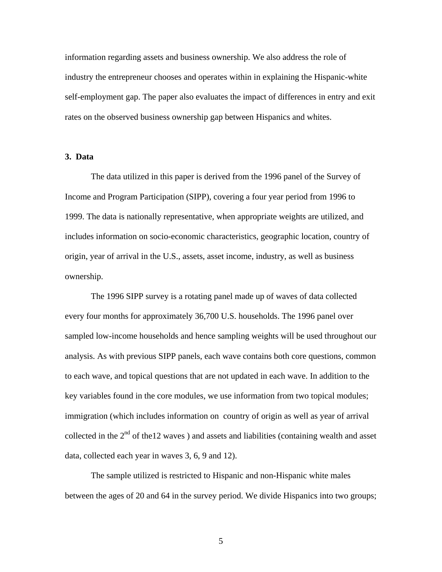information regarding assets and business ownership. We also address the role of industry the entrepreneur chooses and operates within in explaining the Hispanic-white self-employment gap. The paper also evaluates the impact of differences in entry and exit rates on the observed business ownership gap between Hispanics and whites.

#### **3. Data**

The data utilized in this paper is derived from the 1996 panel of the Survey of Income and Program Participation (SIPP), covering a four year period from 1996 to 1999. The data is nationally representative, when appropriate weights are utilized, and includes information on socio-economic characteristics, geographic location, country of origin, year of arrival in the U.S., assets, asset income, industry, as well as business ownership.

The 1996 SIPP survey is a rotating panel made up of waves of data collected every four months for approximately 36,700 U.S. households. The 1996 panel over sampled low-income households and hence sampling weights will be used throughout our analysis. As with previous SIPP panels, each wave contains both core questions, common to each wave, and topical questions that are not updated in each wave. In addition to the key variables found in the core modules, we use information from two topical modules; immigration (which includes information on country of origin as well as year of arrival collected in the  $2<sup>nd</sup>$  of the12 waves) and assets and liabilities (containing wealth and asset data, collected each year in waves 3, 6, 9 and 12).

The sample utilized is restricted to Hispanic and non-Hispanic white males between the ages of 20 and 64 in the survey period. We divide Hispanics into two groups;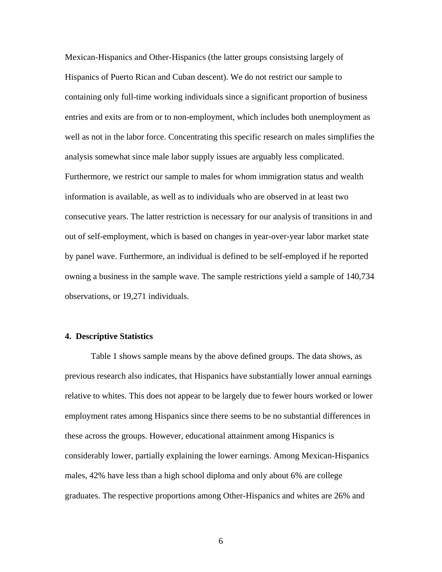Mexican-Hispanics and Other-Hispanics (the latter groups consistsing largely of Hispanics of Puerto Rican and Cuban descent). We do not restrict our sample to containing only full-time working individuals since a significant proportion of business entries and exits are from or to non-employment, which includes both unemployment as well as not in the labor force. Concentrating this specific research on males simplifies the analysis somewhat since male labor supply issues are arguably less complicated. Furthermore, we restrict our sample to males for whom immigration status and wealth information is available, as well as to individuals who are observed in at least two consecutive years. The latter restriction is necessary for our analysis of transitions in and out of self-employment, which is based on changes in year-over-year labor market state by panel wave. Furthermore, an individual is defined to be self-employed if he reported owning a business in the sample wave. The sample restrictions yield a sample of 140,734 observations, or 19,271 individuals.

#### **4. Descriptive Statistics**

Table 1 shows sample means by the above defined groups. The data shows, as previous research also indicates, that Hispanics have substantially lower annual earnings relative to whites. This does not appear to be largely due to fewer hours worked or lower employment rates among Hispanics since there seems to be no substantial differences in these across the groups. However, educational attainment among Hispanics is considerably lower, partially explaining the lower earnings. Among Mexican-Hispanics males, 42% have less than a high school diploma and only about 6% are college graduates. The respective proportions among Other-Hispanics and whites are 26% and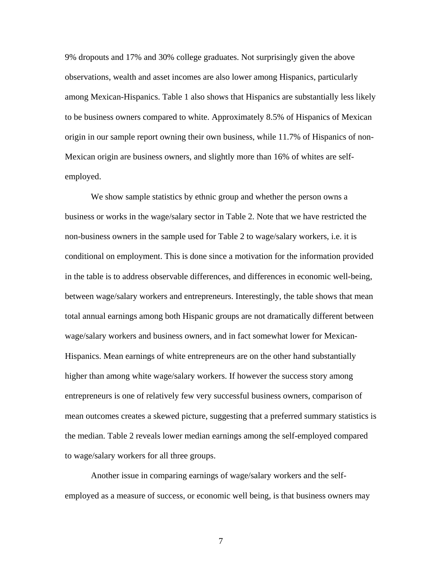9% dropouts and 17% and 30% college graduates. Not surprisingly given the above observations, wealth and asset incomes are also lower among Hispanics, particularly among Mexican-Hispanics. Table 1 also shows that Hispanics are substantially less likely to be business owners compared to white. Approximately 8.5% of Hispanics of Mexican origin in our sample report owning their own business, while 11.7% of Hispanics of non-Mexican origin are business owners, and slightly more than 16% of whites are selfemployed.

 We show sample statistics by ethnic group and whether the person owns a business or works in the wage/salary sector in Table 2. Note that we have restricted the non-business owners in the sample used for Table 2 to wage/salary workers, i.e. it is conditional on employment. This is done since a motivation for the information provided in the table is to address observable differences, and differences in economic well-being, between wage/salary workers and entrepreneurs. Interestingly, the table shows that mean total annual earnings among both Hispanic groups are not dramatically different between wage/salary workers and business owners, and in fact somewhat lower for Mexican-Hispanics. Mean earnings of white entrepreneurs are on the other hand substantially higher than among white wage/salary workers. If however the success story among entrepreneurs is one of relatively few very successful business owners, comparison of mean outcomes creates a skewed picture, suggesting that a preferred summary statistics is the median. Table 2 reveals lower median earnings among the self-employed compared to wage/salary workers for all three groups.

Another issue in comparing earnings of wage/salary workers and the selfemployed as a measure of success, or economic well being, is that business owners may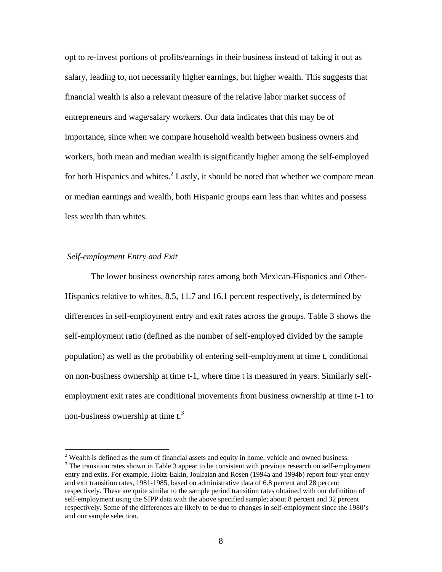opt to re-invest portions of profits/earnings in their business instead of taking it out as salary, leading to, not necessarily higher earnings, but higher wealth. This suggests that financial wealth is also a relevant measure of the relative labor market success of entrepreneurs and wage/salary workers. Our data indicates that this may be of importance, since when we compare household wealth between business owners and workers, both mean and median wealth is significantly higher among the self-employed for both Hispanics and whites. ${}^{2}$  Lastly, it should be noted that whether we compare mean or median earnings and wealth, both Hispanic groups earn less than whites and possess less wealth than whites.

#### *Self-employment Entry and Exit*

 $\overline{a}$ 

 The lower business ownership rates among both Mexican-Hispanics and Other-Hispanics relative to whites, 8.5, 11.7 and 16.1 percent respectively, is determined by differences in self-employment entry and exit rates across the groups. Table 3 shows the self-employment ratio (defined as the number of self-employed divided by the sample population) as well as the probability of entering self-employment at time t, conditional on non-business ownership at time t-1, where time t is measured in years. Similarly selfemployment exit rates are conditional movements from business ownership at time t-1 to non-business ownership at time  $t<sup>3</sup>$ .

 $2$  Wealth is defined as the sum of financial assets and equity in home, vehicle and owned business.  $3$  The transition rates shown in Table 3 appear to be consistent with previous research on self-employment entry and exits. For example, Holtz-Eakin, Joulfaian and Rosen (1994a and 1994b) report four-year entry and exit transition rates, 1981-1985, based on administrative data of 6.8 percent and 28 percent respectively. These are quite similar to the sample period transition rates obtained with our definition of self-employment using the SIPP data with the above specified sample; about 8 percent and 32 percent respectively. Some of the differences are likely to be due to changes in self-employment since the 1980's and our sample selection.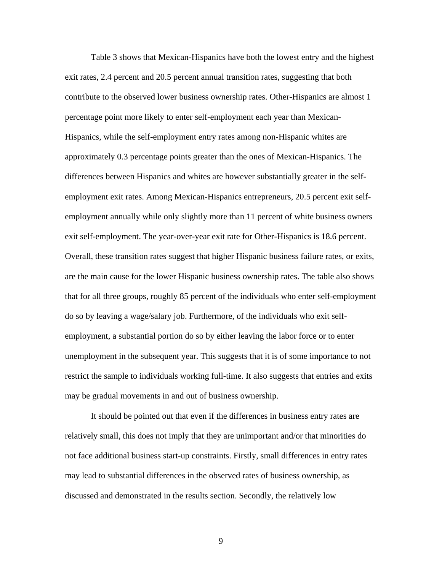Table 3 shows that Mexican-Hispanics have both the lowest entry and the highest exit rates, 2.4 percent and 20.5 percent annual transition rates, suggesting that both contribute to the observed lower business ownership rates. Other-Hispanics are almost 1 percentage point more likely to enter self-employment each year than Mexican-Hispanics, while the self-employment entry rates among non-Hispanic whites are approximately 0.3 percentage points greater than the ones of Mexican-Hispanics. The differences between Hispanics and whites are however substantially greater in the selfemployment exit rates. Among Mexican-Hispanics entrepreneurs, 20.5 percent exit selfemployment annually while only slightly more than 11 percent of white business owners exit self-employment. The year-over-year exit rate for Other-Hispanics is 18.6 percent. Overall, these transition rates suggest that higher Hispanic business failure rates, or exits, are the main cause for the lower Hispanic business ownership rates. The table also shows that for all three groups, roughly 85 percent of the individuals who enter self-employment do so by leaving a wage/salary job. Furthermore, of the individuals who exit selfemployment, a substantial portion do so by either leaving the labor force or to enter unemployment in the subsequent year. This suggests that it is of some importance to not restrict the sample to individuals working full-time. It also suggests that entries and exits may be gradual movements in and out of business ownership.

 It should be pointed out that even if the differences in business entry rates are relatively small, this does not imply that they are unimportant and/or that minorities do not face additional business start-up constraints. Firstly, small differences in entry rates may lead to substantial differences in the observed rates of business ownership, as discussed and demonstrated in the results section. Secondly, the relatively low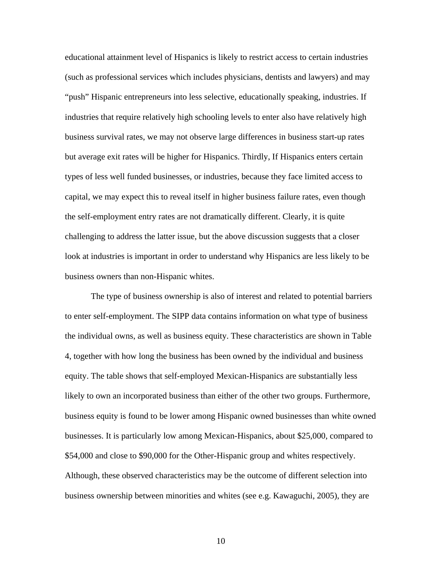educational attainment level of Hispanics is likely to restrict access to certain industries (such as professional services which includes physicians, dentists and lawyers) and may "push" Hispanic entrepreneurs into less selective, educationally speaking, industries. If industries that require relatively high schooling levels to enter also have relatively high business survival rates, we may not observe large differences in business start-up rates but average exit rates will be higher for Hispanics. Thirdly, If Hispanics enters certain types of less well funded businesses, or industries, because they face limited access to capital, we may expect this to reveal itself in higher business failure rates, even though the self-employment entry rates are not dramatically different. Clearly, it is quite challenging to address the latter issue, but the above discussion suggests that a closer look at industries is important in order to understand why Hispanics are less likely to be business owners than non-Hispanic whites.

The type of business ownership is also of interest and related to potential barriers to enter self-employment. The SIPP data contains information on what type of business the individual owns, as well as business equity. These characteristics are shown in Table 4, together with how long the business has been owned by the individual and business equity. The table shows that self-employed Mexican-Hispanics are substantially less likely to own an incorporated business than either of the other two groups. Furthermore, business equity is found to be lower among Hispanic owned businesses than white owned businesses. It is particularly low among Mexican-Hispanics, about \$25,000, compared to \$54,000 and close to \$90,000 for the Other-Hispanic group and whites respectively. Although, these observed characteristics may be the outcome of different selection into business ownership between minorities and whites (see e.g. Kawaguchi, 2005), they are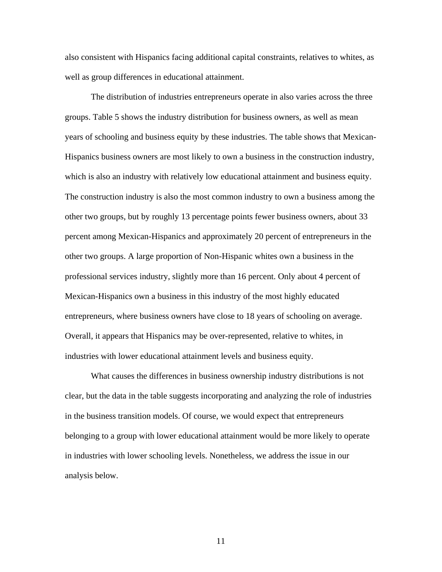also consistent with Hispanics facing additional capital constraints, relatives to whites, as well as group differences in educational attainment.

 The distribution of industries entrepreneurs operate in also varies across the three groups. Table 5 shows the industry distribution for business owners, as well as mean years of schooling and business equity by these industries. The table shows that Mexican-Hispanics business owners are most likely to own a business in the construction industry, which is also an industry with relatively low educational attainment and business equity. The construction industry is also the most common industry to own a business among the other two groups, but by roughly 13 percentage points fewer business owners, about 33 percent among Mexican-Hispanics and approximately 20 percent of entrepreneurs in the other two groups. A large proportion of Non-Hispanic whites own a business in the professional services industry, slightly more than 16 percent. Only about 4 percent of Mexican-Hispanics own a business in this industry of the most highly educated entrepreneurs, where business owners have close to 18 years of schooling on average. Overall, it appears that Hispanics may be over-represented, relative to whites, in industries with lower educational attainment levels and business equity.

What causes the differences in business ownership industry distributions is not clear, but the data in the table suggests incorporating and analyzing the role of industries in the business transition models. Of course, we would expect that entrepreneurs belonging to a group with lower educational attainment would be more likely to operate in industries with lower schooling levels. Nonetheless, we address the issue in our analysis below.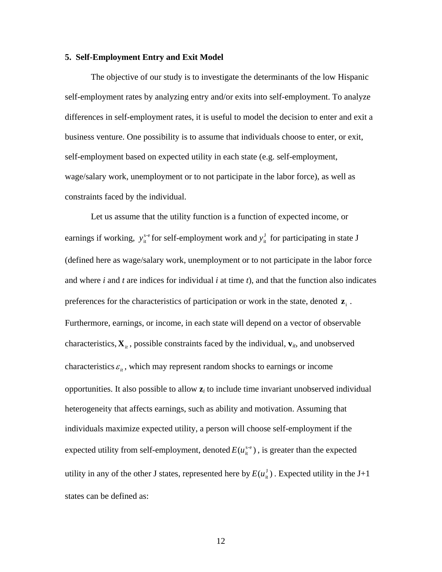#### **5. Self-Employment Entry and Exit Model**

The objective of our study is to investigate the determinants of the low Hispanic self-employment rates by analyzing entry and/or exits into self-employment. To analyze differences in self-employment rates, it is useful to model the decision to enter and exit a business venture. One possibility is to assume that individuals choose to enter, or exit, self-employment based on expected utility in each state (e.g. self-employment, wage/salary work, unemployment or to not participate in the labor force), as well as constraints faced by the individual.

Let us assume that the utility function is a function of expected income, or earnings if working,  $y_{it}^{s-e}$  for self-employment work and  $y_{it}^J$  for participating in state J (defined here as wage/salary work, unemployment or to not participate in the labor force and where *i* and *t* are indices for individual *i* at time *t*), and that the function also indicates preferences for the characteristics of participation or work in the state, denoted  $\mathbf{z}_i$ . Furthermore, earnings, or income, in each state will depend on a vector of observable characteristics,  $\mathbf{X}_i$ , possible constraints faced by the individual,  $\mathbf{v}_i$ , and unobserved characteristics  $\varepsilon_{it}$ , which may represent random shocks to earnings or income opportunities. It also possible to allow **z***i* to include time invariant unobserved individual heterogeneity that affects earnings, such as ability and motivation. Assuming that individuals maximize expected utility, a person will choose self-employment if the expected utility from self-employment, denoted  $E(u_i^{s-e})$ , is greater than the expected utility in any of the other J states, represented here by  $E(u_{it}^J)$ . Expected utility in the J+1 states can be defined as: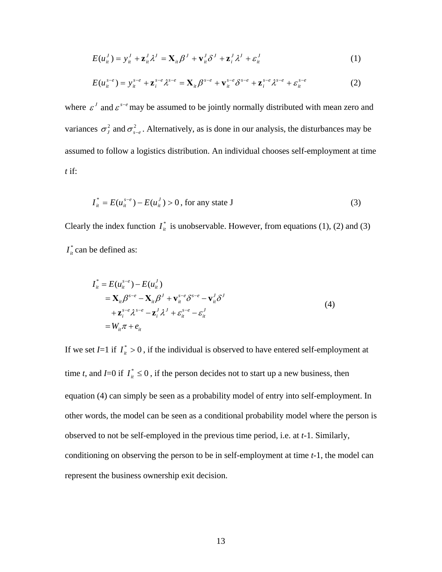$$
E(u_{it}^J) = y_{it}^J + \mathbf{z}_{it}^J \lambda^J = \mathbf{X}_{it} \beta^J + \mathbf{v}_{it}^J \delta^J + \mathbf{z}_{it}^J \lambda^J + \varepsilon_{it}^J
$$
 (1)

$$
E(u_{it}^{s-e}) = y_{it}^{s-e} + \mathbf{z}_{i}^{s-e} \lambda^{s-e} = \mathbf{X}_{it} \beta^{s-e} + \mathbf{v}_{it}^{s-e} \delta^{s-e} + \mathbf{z}_{i}^{s-e} \lambda^{s-e} + \varepsilon_{it}^{s-e}
$$
(2)

where  $\epsilon^j$  and  $\epsilon^{s-e}$  may be assumed to be jointly normally distributed with mean zero and variances  $\sigma_j^2$  and  $\sigma_{s-e}^2$ . Alternatively, as is done in our analysis, the disturbances may be assumed to follow a logistics distribution. An individual chooses self-employment at time *t* if:

$$
I_{it}^{*} = E(u_{it}^{s-e}) - E(u_{it}^{J}) > 0, \text{ for any state J}
$$
 (3)

Clearly the index function  $I_{\text{in}}^*$  is unobservable. However, from equations (1), (2) and (3)  $I_{it}^*$  can be defined as:

$$
I_{it}^{*} = E(u_{it}^{s-e}) - E(u_{it}^{J})
$$
  
\n
$$
= \mathbf{X}_{it} \beta^{s-e} - \mathbf{X}_{it} \beta^{J} + \mathbf{v}_{it}^{s-e} \delta^{s-e} - \mathbf{v}_{it}^{J} \delta^{J}
$$
  
\n
$$
+ \mathbf{z}_{i}^{s-e} \lambda^{s-e} - \mathbf{z}_{i}^{J} \lambda^{J} + \varepsilon_{it}^{s-e} - \varepsilon_{it}^{J}
$$
  
\n
$$
= W_{it} \pi + e_{it}
$$
\n(4)

If we set *I*=1 if  $I_{ii}^* > 0$ , if the individual is observed to have entered self-employment at time *t*, and *I*=0 if  $I_{it}^{*} \le 0$ , if the person decides not to start up a new business, then equation (4) can simply be seen as a probability model of entry into self-employment. In other words, the model can be seen as a conditional probability model where the person is observed to not be self-employed in the previous time period, i.e. at *t*-1. Similarly, conditioning on observing the person to be in self-employment at time *t*-1, the model can represent the business ownership exit decision.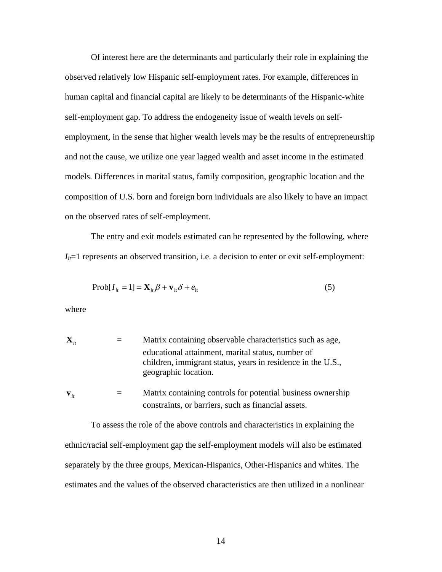Of interest here are the determinants and particularly their role in explaining the observed relatively low Hispanic self-employment rates. For example, differences in human capital and financial capital are likely to be determinants of the Hispanic-white self-employment gap. To address the endogeneity issue of wealth levels on selfemployment, in the sense that higher wealth levels may be the results of entrepreneurship and not the cause, we utilize one year lagged wealth and asset income in the estimated models. Differences in marital status, family composition, geographic location and the composition of U.S. born and foreign born individuals are also likely to have an impact on the observed rates of self-employment.

 The entry and exit models estimated can be represented by the following, where  $I_{it}$ =1 represents an observed transition, i.e. a decision to enter or exit self-employment:

$$
Prob[I_{it} = 1] = \mathbf{X}_{it} \boldsymbol{\beta} + \mathbf{v}_{it} \boldsymbol{\delta} + e_{it}
$$
 (5)

where

| $\mathbf{X}_{n}$  | Matrix containing observable characteristics such as age,                                                                                |
|-------------------|------------------------------------------------------------------------------------------------------------------------------------------|
|                   | educational attainment, marital status, number of<br>children, immigrant status, years in residence in the U.S.,<br>geographic location. |
| $\mathbf{V}_{it}$ | Matrix containing controls for potential business ownership<br>constraints, or barriers, such as financial assets.                       |

To assess the role of the above controls and characteristics in explaining the ethnic/racial self-employment gap the self-employment models will also be estimated separately by the three groups, Mexican-Hispanics, Other-Hispanics and whites. The estimates and the values of the observed characteristics are then utilized in a nonlinear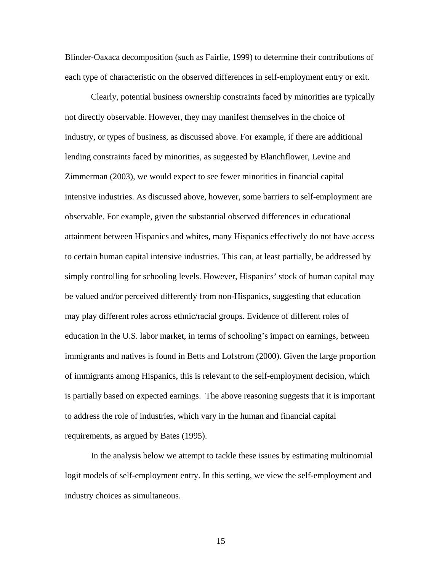Blinder-Oaxaca decomposition (such as Fairlie, 1999) to determine their contributions of each type of characteristic on the observed differences in self-employment entry or exit.

Clearly, potential business ownership constraints faced by minorities are typically not directly observable. However, they may manifest themselves in the choice of industry, or types of business, as discussed above. For example, if there are additional lending constraints faced by minorities, as suggested by Blanchflower, Levine and Zimmerman (2003), we would expect to see fewer minorities in financial capital intensive industries. As discussed above, however, some barriers to self-employment are observable. For example, given the substantial observed differences in educational attainment between Hispanics and whites, many Hispanics effectively do not have access to certain human capital intensive industries. This can, at least partially, be addressed by simply controlling for schooling levels. However, Hispanics' stock of human capital may be valued and/or perceived differently from non-Hispanics, suggesting that education may play different roles across ethnic/racial groups. Evidence of different roles of education in the U.S. labor market, in terms of schooling's impact on earnings, between immigrants and natives is found in Betts and Lofstrom (2000). Given the large proportion of immigrants among Hispanics, this is relevant to the self-employment decision, which is partially based on expected earnings. The above reasoning suggests that it is important to address the role of industries, which vary in the human and financial capital requirements, as argued by Bates (1995).

In the analysis below we attempt to tackle these issues by estimating multinomial logit models of self-employment entry. In this setting, we view the self-employment and industry choices as simultaneous.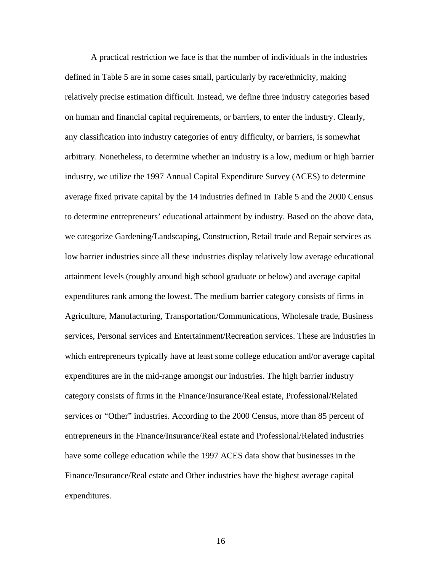A practical restriction we face is that the number of individuals in the industries defined in Table 5 are in some cases small, particularly by race/ethnicity, making relatively precise estimation difficult. Instead, we define three industry categories based on human and financial capital requirements, or barriers, to enter the industry. Clearly, any classification into industry categories of entry difficulty, or barriers, is somewhat arbitrary. Nonetheless, to determine whether an industry is a low, medium or high barrier industry, we utilize the 1997 Annual Capital Expenditure Survey (ACES) to determine average fixed private capital by the 14 industries defined in Table 5 and the 2000 Census to determine entrepreneurs' educational attainment by industry. Based on the above data, we categorize Gardening/Landscaping, Construction, Retail trade and Repair services as low barrier industries since all these industries display relatively low average educational attainment levels (roughly around high school graduate or below) and average capital expenditures rank among the lowest. The medium barrier category consists of firms in Agriculture, Manufacturing, Transportation/Communications, Wholesale trade, Business services, Personal services and Entertainment/Recreation services. These are industries in which entrepreneurs typically have at least some college education and/or average capital expenditures are in the mid-range amongst our industries. The high barrier industry category consists of firms in the Finance/Insurance/Real estate, Professional/Related services or "Other" industries. According to the 2000 Census, more than 85 percent of entrepreneurs in the Finance/Insurance/Real estate and Professional/Related industries have some college education while the 1997 ACES data show that businesses in the Finance/Insurance/Real estate and Other industries have the highest average capital expenditures.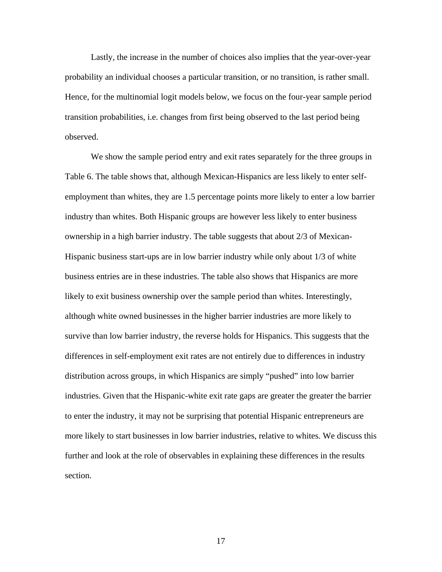Lastly, the increase in the number of choices also implies that the year-over-year probability an individual chooses a particular transition, or no transition, is rather small. Hence, for the multinomial logit models below, we focus on the four-year sample period transition probabilities, i.e. changes from first being observed to the last period being observed.

We show the sample period entry and exit rates separately for the three groups in Table 6. The table shows that, although Mexican-Hispanics are less likely to enter selfemployment than whites, they are 1.5 percentage points more likely to enter a low barrier industry than whites. Both Hispanic groups are however less likely to enter business ownership in a high barrier industry. The table suggests that about 2/3 of Mexican-Hispanic business start-ups are in low barrier industry while only about 1/3 of white business entries are in these industries. The table also shows that Hispanics are more likely to exit business ownership over the sample period than whites. Interestingly, although white owned businesses in the higher barrier industries are more likely to survive than low barrier industry, the reverse holds for Hispanics. This suggests that the differences in self-employment exit rates are not entirely due to differences in industry distribution across groups, in which Hispanics are simply "pushed" into low barrier industries. Given that the Hispanic-white exit rate gaps are greater the greater the barrier to enter the industry, it may not be surprising that potential Hispanic entrepreneurs are more likely to start businesses in low barrier industries, relative to whites. We discuss this further and look at the role of observables in explaining these differences in the results section.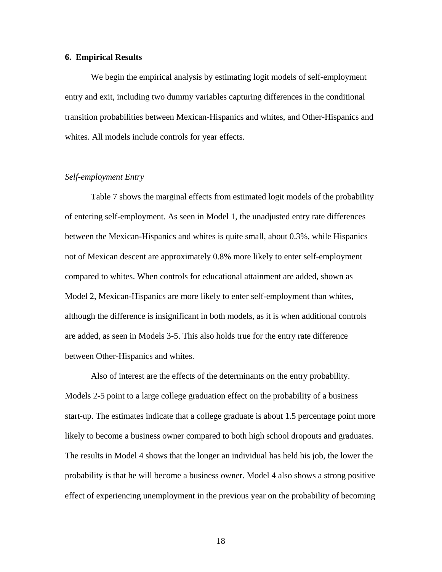#### **6. Empirical Results**

We begin the empirical analysis by estimating logit models of self-employment entry and exit, including two dummy variables capturing differences in the conditional transition probabilities between Mexican-Hispanics and whites, and Other-Hispanics and whites. All models include controls for year effects.

#### *Self-employment Entry*

Table 7 shows the marginal effects from estimated logit models of the probability of entering self-employment. As seen in Model 1, the unadjusted entry rate differences between the Mexican-Hispanics and whites is quite small, about 0.3%, while Hispanics not of Mexican descent are approximately 0.8% more likely to enter self-employment compared to whites. When controls for educational attainment are added, shown as Model 2, Mexican-Hispanics are more likely to enter self-employment than whites, although the difference is insignificant in both models, as it is when additional controls are added, as seen in Models 3-5. This also holds true for the entry rate difference between Other-Hispanics and whites.

Also of interest are the effects of the determinants on the entry probability. Models 2-5 point to a large college graduation effect on the probability of a business start-up. The estimates indicate that a college graduate is about 1.5 percentage point more likely to become a business owner compared to both high school dropouts and graduates. The results in Model 4 shows that the longer an individual has held his job, the lower the probability is that he will become a business owner. Model 4 also shows a strong positive effect of experiencing unemployment in the previous year on the probability of becoming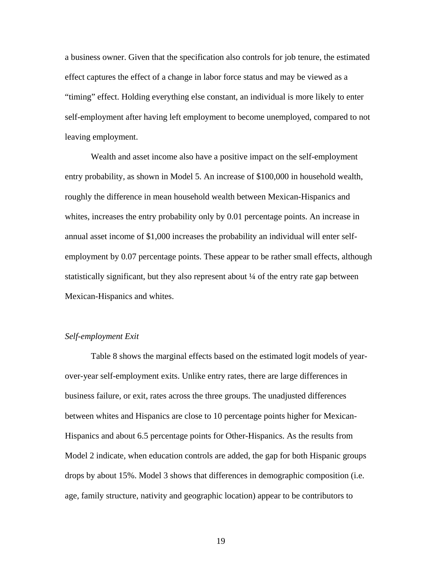a business owner. Given that the specification also controls for job tenure, the estimated effect captures the effect of a change in labor force status and may be viewed as a "timing" effect. Holding everything else constant, an individual is more likely to enter self-employment after having left employment to become unemployed, compared to not leaving employment.

Wealth and asset income also have a positive impact on the self-employment entry probability, as shown in Model 5. An increase of \$100,000 in household wealth, roughly the difference in mean household wealth between Mexican-Hispanics and whites, increases the entry probability only by 0.01 percentage points. An increase in annual asset income of \$1,000 increases the probability an individual will enter selfemployment by 0.07 percentage points. These appear to be rather small effects, although statistically significant, but they also represent about ¼ of the entry rate gap between Mexican-Hispanics and whites.

#### *Self-employment Exit*

Table 8 shows the marginal effects based on the estimated logit models of yearover-year self-employment exits. Unlike entry rates, there are large differences in business failure, or exit, rates across the three groups. The unadjusted differences between whites and Hispanics are close to 10 percentage points higher for Mexican-Hispanics and about 6.5 percentage points for Other-Hispanics. As the results from Model 2 indicate, when education controls are added, the gap for both Hispanic groups drops by about 15%. Model 3 shows that differences in demographic composition (i.e. age, family structure, nativity and geographic location) appear to be contributors to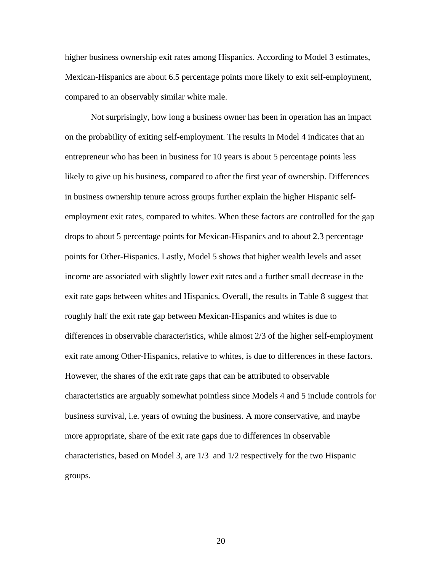higher business ownership exit rates among Hispanics. According to Model 3 estimates, Mexican-Hispanics are about 6.5 percentage points more likely to exit self-employment, compared to an observably similar white male.

Not surprisingly, how long a business owner has been in operation has an impact on the probability of exiting self-employment. The results in Model 4 indicates that an entrepreneur who has been in business for 10 years is about 5 percentage points less likely to give up his business, compared to after the first year of ownership. Differences in business ownership tenure across groups further explain the higher Hispanic selfemployment exit rates, compared to whites. When these factors are controlled for the gap drops to about 5 percentage points for Mexican-Hispanics and to about 2.3 percentage points for Other-Hispanics. Lastly, Model 5 shows that higher wealth levels and asset income are associated with slightly lower exit rates and a further small decrease in the exit rate gaps between whites and Hispanics. Overall, the results in Table 8 suggest that roughly half the exit rate gap between Mexican-Hispanics and whites is due to differences in observable characteristics, while almost 2/3 of the higher self-employment exit rate among Other-Hispanics, relative to whites, is due to differences in these factors. However, the shares of the exit rate gaps that can be attributed to observable characteristics are arguably somewhat pointless since Models 4 and 5 include controls for business survival, i.e. years of owning the business. A more conservative, and maybe more appropriate, share of the exit rate gaps due to differences in observable characteristics, based on Model 3, are 1/3 and 1/2 respectively for the two Hispanic groups.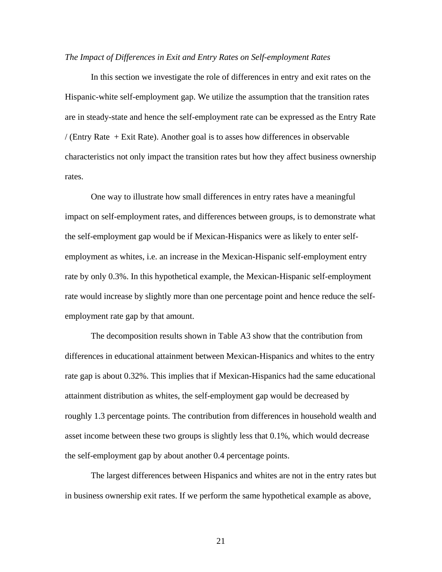#### *The Impact of Differences in Exit and Entry Rates on Self-employment Rates*

In this section we investigate the role of differences in entry and exit rates on the Hispanic-white self-employment gap. We utilize the assumption that the transition rates are in steady-state and hence the self-employment rate can be expressed as the Entry Rate / (Entry Rate + Exit Rate). Another goal is to asses how differences in observable characteristics not only impact the transition rates but how they affect business ownership rates.

One way to illustrate how small differences in entry rates have a meaningful impact on self-employment rates, and differences between groups, is to demonstrate what the self-employment gap would be if Mexican-Hispanics were as likely to enter selfemployment as whites, i.e. an increase in the Mexican-Hispanic self-employment entry rate by only 0.3%. In this hypothetical example, the Mexican-Hispanic self-employment rate would increase by slightly more than one percentage point and hence reduce the selfemployment rate gap by that amount.

The decomposition results shown in Table A3 show that the contribution from differences in educational attainment between Mexican-Hispanics and whites to the entry rate gap is about 0.32%. This implies that if Mexican-Hispanics had the same educational attainment distribution as whites, the self-employment gap would be decreased by roughly 1.3 percentage points. The contribution from differences in household wealth and asset income between these two groups is slightly less that 0.1%, which would decrease the self-employment gap by about another 0.4 percentage points.

The largest differences between Hispanics and whites are not in the entry rates but in business ownership exit rates. If we perform the same hypothetical example as above,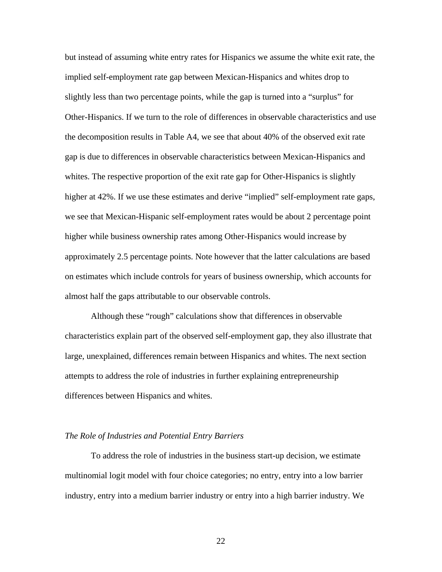but instead of assuming white entry rates for Hispanics we assume the white exit rate, the implied self-employment rate gap between Mexican-Hispanics and whites drop to slightly less than two percentage points, while the gap is turned into a "surplus" for Other-Hispanics. If we turn to the role of differences in observable characteristics and use the decomposition results in Table A4, we see that about 40% of the observed exit rate gap is due to differences in observable characteristics between Mexican-Hispanics and whites. The respective proportion of the exit rate gap for Other-Hispanics is slightly higher at 42%. If we use these estimates and derive "implied" self-employment rate gaps, we see that Mexican-Hispanic self-employment rates would be about 2 percentage point higher while business ownership rates among Other-Hispanics would increase by approximately 2.5 percentage points. Note however that the latter calculations are based on estimates which include controls for years of business ownership, which accounts for almost half the gaps attributable to our observable controls.

Although these "rough" calculations show that differences in observable characteristics explain part of the observed self-employment gap, they also illustrate that large, unexplained, differences remain between Hispanics and whites. The next section attempts to address the role of industries in further explaining entrepreneurship differences between Hispanics and whites.

#### *The Role of Industries and Potential Entry Barriers*

To address the role of industries in the business start-up decision, we estimate multinomial logit model with four choice categories; no entry, entry into a low barrier industry, entry into a medium barrier industry or entry into a high barrier industry. We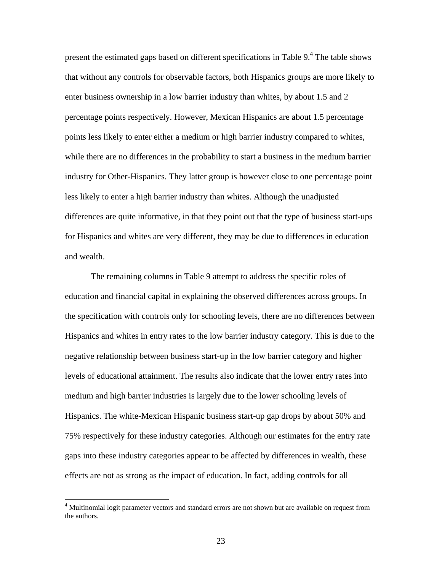present the estimated gaps based on different specifications in Table 9.<sup>4</sup> The table shows that without any controls for observable factors, both Hispanics groups are more likely to enter business ownership in a low barrier industry than whites, by about 1.5 and 2 percentage points respectively. However, Mexican Hispanics are about 1.5 percentage points less likely to enter either a medium or high barrier industry compared to whites, while there are no differences in the probability to start a business in the medium barrier industry for Other-Hispanics. They latter group is however close to one percentage point less likely to enter a high barrier industry than whites. Although the unadjusted differences are quite informative, in that they point out that the type of business start-ups for Hispanics and whites are very different, they may be due to differences in education and wealth.

The remaining columns in Table 9 attempt to address the specific roles of education and financial capital in explaining the observed differences across groups. In the specification with controls only for schooling levels, there are no differences between Hispanics and whites in entry rates to the low barrier industry category. This is due to the negative relationship between business start-up in the low barrier category and higher levels of educational attainment. The results also indicate that the lower entry rates into medium and high barrier industries is largely due to the lower schooling levels of Hispanics. The white-Mexican Hispanic business start-up gap drops by about 50% and 75% respectively for these industry categories. Although our estimates for the entry rate gaps into these industry categories appear to be affected by differences in wealth, these effects are not as strong as the impact of education. In fact, adding controls for all

<sup>&</sup>lt;sup>4</sup> Multinomial logit parameter vectors and standard errors are not shown but are available on request from the authors.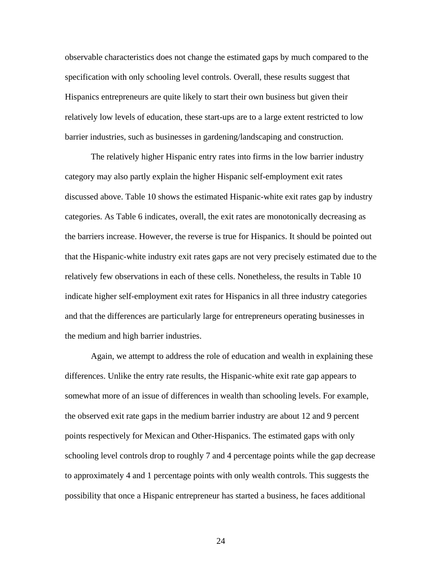observable characteristics does not change the estimated gaps by much compared to the specification with only schooling level controls. Overall, these results suggest that Hispanics entrepreneurs are quite likely to start their own business but given their relatively low levels of education, these start-ups are to a large extent restricted to low barrier industries, such as businesses in gardening/landscaping and construction.

The relatively higher Hispanic entry rates into firms in the low barrier industry category may also partly explain the higher Hispanic self-employment exit rates discussed above. Table 10 shows the estimated Hispanic-white exit rates gap by industry categories. As Table 6 indicates, overall, the exit rates are monotonically decreasing as the barriers increase. However, the reverse is true for Hispanics. It should be pointed out that the Hispanic-white industry exit rates gaps are not very precisely estimated due to the relatively few observations in each of these cells. Nonetheless, the results in Table 10 indicate higher self-employment exit rates for Hispanics in all three industry categories and that the differences are particularly large for entrepreneurs operating businesses in the medium and high barrier industries.

Again, we attempt to address the role of education and wealth in explaining these differences. Unlike the entry rate results, the Hispanic-white exit rate gap appears to somewhat more of an issue of differences in wealth than schooling levels. For example, the observed exit rate gaps in the medium barrier industry are about 12 and 9 percent points respectively for Mexican and Other-Hispanics. The estimated gaps with only schooling level controls drop to roughly 7 and 4 percentage points while the gap decrease to approximately 4 and 1 percentage points with only wealth controls. This suggests the possibility that once a Hispanic entrepreneur has started a business, he faces additional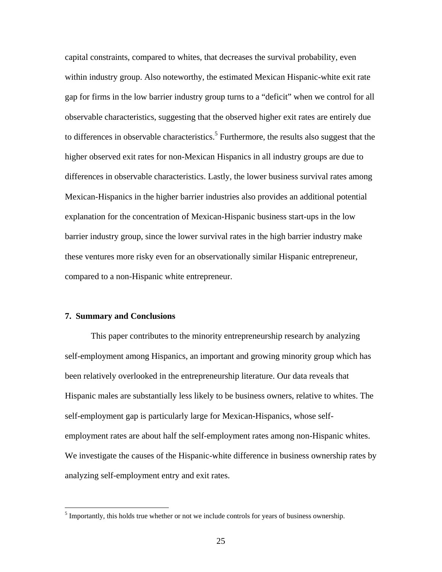capital constraints, compared to whites, that decreases the survival probability, even within industry group. Also noteworthy, the estimated Mexican Hispanic-white exit rate gap for firms in the low barrier industry group turns to a "deficit" when we control for all observable characteristics, suggesting that the observed higher exit rates are entirely due to differences in observable characteristics.<sup>5</sup> Furthermore, the results also suggest that the higher observed exit rates for non-Mexican Hispanics in all industry groups are due to differences in observable characteristics. Lastly, the lower business survival rates among Mexican-Hispanics in the higher barrier industries also provides an additional potential explanation for the concentration of Mexican-Hispanic business start-ups in the low barrier industry group, since the lower survival rates in the high barrier industry make these ventures more risky even for an observationally similar Hispanic entrepreneur, compared to a non-Hispanic white entrepreneur.

#### **7. Summary and Conclusions**

 $\overline{a}$ 

This paper contributes to the minority entrepreneurship research by analyzing self-employment among Hispanics, an important and growing minority group which has been relatively overlooked in the entrepreneurship literature. Our data reveals that Hispanic males are substantially less likely to be business owners, relative to whites. The self-employment gap is particularly large for Mexican-Hispanics, whose selfemployment rates are about half the self-employment rates among non-Hispanic whites. We investigate the causes of the Hispanic-white difference in business ownership rates by analyzing self-employment entry and exit rates.

 $<sup>5</sup>$  Importantly, this holds true whether or not we include controls for years of business ownership.</sup>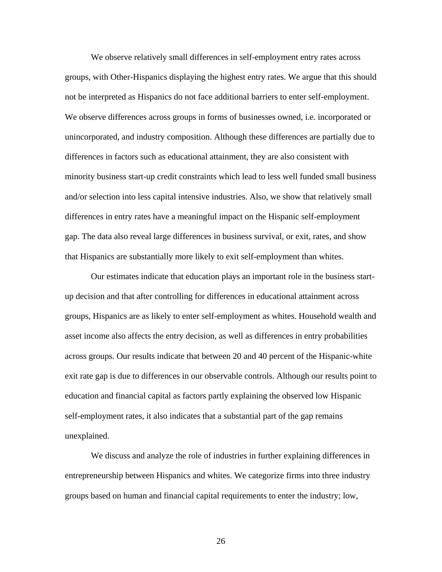We observe relatively small differences in self-employment entry rates across groups, with Other-Hispanics displaying the highest entry rates. We argue that this should not be interpreted as Hispanics do not face additional barriers to enter self-employment. We observe differences across groups in forms of businesses owned, i.e. incorporated or unincorporated, and industry composition. Although these differences are partially due to differences in factors such as educational attainment, they are also consistent with minority business start-up credit constraints which lead to less well funded small business and/or selection into less capital intensive industries. Also, we show that relatively small differences in entry rates have a meaningful impact on the Hispanic self-employment gap. The data also reveal large differences in business survival, or exit, rates, and show that Hispanics are substantially more likely to exit self-employment than whites.

Our estimates indicate that education plays an important role in the business startup decision and that after controlling for differences in educational attainment across groups, Hispanics are as likely to enter self-employment as whites. Household wealth and asset income also affects the entry decision, as well as differences in entry probabilities across groups. Our results indicate that between 20 and 40 percent of the Hispanic-white exit rate gap is due to differences in our observable controls. Although our results point to education and financial capital as factors partly explaining the observed low Hispanic self-employment rates, it also indicates that a substantial part of the gap remains unexplained.

We discuss and analyze the role of industries in further explaining differences in entrepreneurship between Hispanics and whites. We categorize firms into three industry groups based on human and financial capital requirements to enter the industry; low,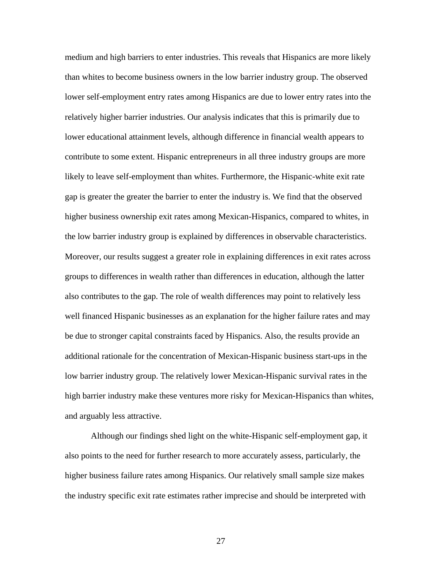medium and high barriers to enter industries. This reveals that Hispanics are more likely than whites to become business owners in the low barrier industry group. The observed lower self-employment entry rates among Hispanics are due to lower entry rates into the relatively higher barrier industries. Our analysis indicates that this is primarily due to lower educational attainment levels, although difference in financial wealth appears to contribute to some extent. Hispanic entrepreneurs in all three industry groups are more likely to leave self-employment than whites. Furthermore, the Hispanic-white exit rate gap is greater the greater the barrier to enter the industry is. We find that the observed higher business ownership exit rates among Mexican-Hispanics, compared to whites, in the low barrier industry group is explained by differences in observable characteristics. Moreover, our results suggest a greater role in explaining differences in exit rates across groups to differences in wealth rather than differences in education, although the latter also contributes to the gap. The role of wealth differences may point to relatively less well financed Hispanic businesses as an explanation for the higher failure rates and may be due to stronger capital constraints faced by Hispanics. Also, the results provide an additional rationale for the concentration of Mexican-Hispanic business start-ups in the low barrier industry group. The relatively lower Mexican-Hispanic survival rates in the high barrier industry make these ventures more risky for Mexican-Hispanics than whites, and arguably less attractive.

 Although our findings shed light on the white-Hispanic self-employment gap, it also points to the need for further research to more accurately assess, particularly, the higher business failure rates among Hispanics. Our relatively small sample size makes the industry specific exit rate estimates rather imprecise and should be interpreted with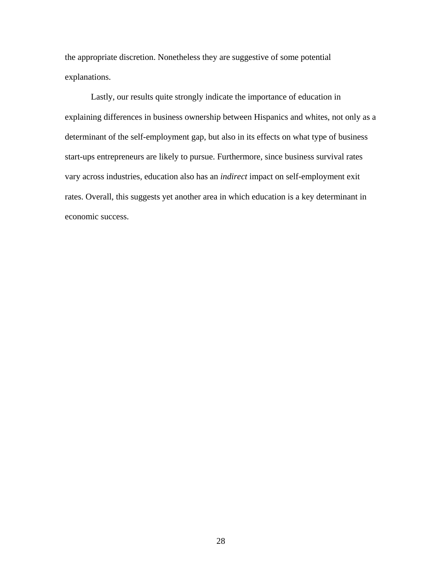the appropriate discretion. Nonetheless they are suggestive of some potential explanations.

Lastly, our results quite strongly indicate the importance of education in explaining differences in business ownership between Hispanics and whites, not only as a determinant of the self-employment gap, but also in its effects on what type of business start-ups entrepreneurs are likely to pursue. Furthermore, since business survival rates vary across industries, education also has an *indirect* impact on self-employment exit rates. Overall, this suggests yet another area in which education is a key determinant in economic success.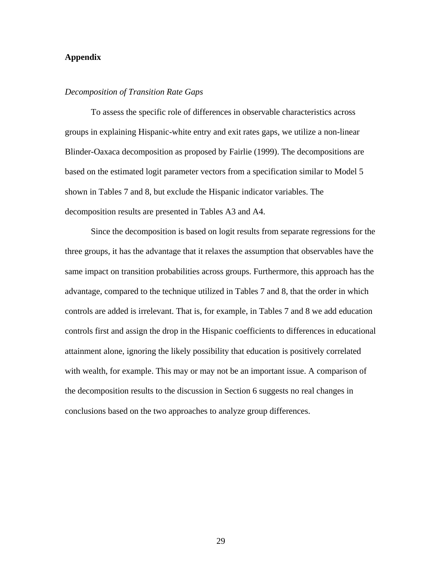#### **Appendix**

#### *Decomposition of Transition Rate Gaps*

 To assess the specific role of differences in observable characteristics across groups in explaining Hispanic-white entry and exit rates gaps, we utilize a non-linear Blinder-Oaxaca decomposition as proposed by Fairlie (1999). The decompositions are based on the estimated logit parameter vectors from a specification similar to Model 5 shown in Tables 7 and 8, but exclude the Hispanic indicator variables. The decomposition results are presented in Tables A3 and A4.

Since the decomposition is based on logit results from separate regressions for the three groups, it has the advantage that it relaxes the assumption that observables have the same impact on transition probabilities across groups. Furthermore, this approach has the advantage, compared to the technique utilized in Tables 7 and 8, that the order in which controls are added is irrelevant. That is, for example, in Tables 7 and 8 we add education controls first and assign the drop in the Hispanic coefficients to differences in educational attainment alone, ignoring the likely possibility that education is positively correlated with wealth, for example. This may or may not be an important issue. A comparison of the decomposition results to the discussion in Section 6 suggests no real changes in conclusions based on the two approaches to analyze group differences.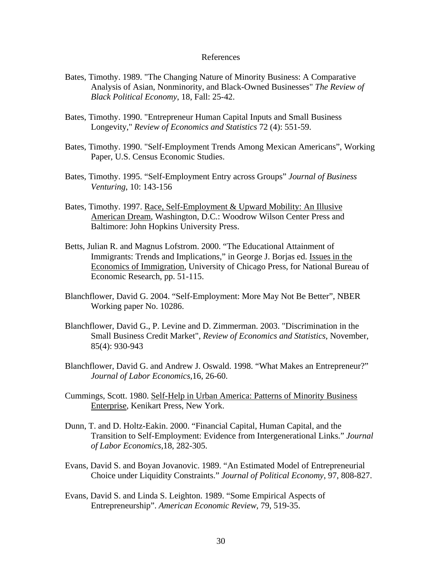#### References

- Bates, Timothy. 1989. "The Changing Nature of Minority Business: A Comparative Analysis of Asian, Nonminority, and Black-Owned Businesses" *The Review of Black Political Economy*, 18, Fall: 25-42.
- Bates, Timothy. 1990. "Entrepreneur Human Capital Inputs and Small Business Longevity," *Review of Economics and Statistics* 72 (4): 551-59.
- Bates, Timothy. 1990. "Self-Employment Trends Among Mexican Americans", Working Paper, U.S. Census Economic Studies.
- Bates, Timothy. 1995. "Self-Employment Entry across Groups" *Journal of Business Venturing*, 10: 143-156
- Bates, Timothy. 1997. Race, Self-Employment & Upward Mobility: An Illusive American Dream, Washington, D.C.: Woodrow Wilson Center Press and Baltimore: John Hopkins University Press.
- Betts, Julian R. and Magnus Lofstrom. 2000. "The Educational Attainment of Immigrants: Trends and Implications," in George J. Borjas ed. Issues in the Economics of Immigration, University of Chicago Press, for National Bureau of Economic Research, pp. 51-115.
- Blanchflower, David G. 2004. "Self-Employment: More May Not Be Better", NBER Working paper No. 10286.
- Blanchflower, David G., P. Levine and D. Zimmerman. 2003. "Discrimination in the Small Business Credit Market", *Review of Economics and Statistics*, November, 85(4): 930-943
- Blanchflower, David G. and Andrew J. Oswald. 1998. "What Makes an Entrepreneur?" *Journal of Labor Economics*,16, 26-60.
- Cummings, Scott. 1980. Self-Help in Urban America: Patterns of Minority Business Enterprise, Kenikart Press, New York.
- Dunn, T. and D. Holtz-Eakin. 2000. "Financial Capital, Human Capital, and the Transition to Self-Employment: Evidence from Intergenerational Links." *Journal of Labor Economics*,18, 282-305.
- Evans, David S. and Boyan Jovanovic. 1989. "An Estimated Model of Entrepreneurial Choice under Liquidity Constraints." *Journal of Political Economy*, 97, 808-827.
- Evans, David S. and Linda S. Leighton. 1989. "Some Empirical Aspects of Entrepreneurship". *American Economic Review*, 79, 519-35.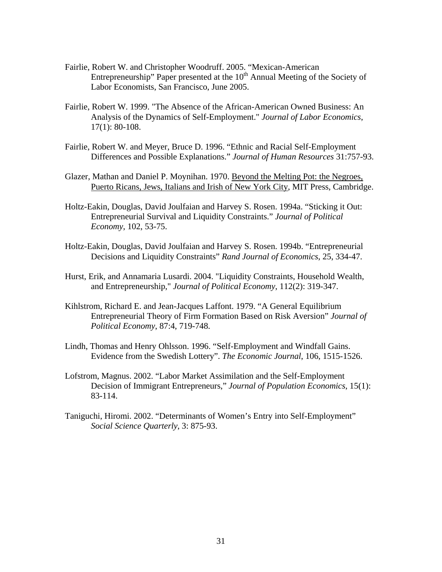- Fairlie, Robert W. and Christopher Woodruff. 2005. "Mexican-American Entrepreneurship" Paper presented at the  $10<sup>th</sup>$  Annual Meeting of the Society of Labor Economists, San Francisco, June 2005.
- Fairlie, Robert W. 1999. "The Absence of the African-American Owned Business: An Analysis of the Dynamics of Self-Employment." *Journal of Labor Economics*, 17(1): 80-108.
- Fairlie, Robert W. and Meyer, Bruce D. 1996. "Ethnic and Racial Self-Employment Differences and Possible Explanations." *Journal of Human Resources* 31:757-93.
- Glazer, Mathan and Daniel P. Moynihan. 1970. Beyond the Melting Pot: the Negroes, Puerto Ricans, Jews, Italians and Irish of New York City, MIT Press, Cambridge.
- Holtz-Eakin, Douglas, David Joulfaian and Harvey S. Rosen. 1994a. "Sticking it Out: Entrepreneurial Survival and Liquidity Constraints." *Journal of Political Economy*, 102, 53-75.
- Holtz-Eakin, Douglas, David Joulfaian and Harvey S. Rosen. 1994b. "Entrepreneurial Decisions and Liquidity Constraints" *Rand Journal of Economics*, 25, 334-47.
- Hurst, Erik, and Annamaria Lusardi. 2004. "Liquidity Constraints, Household Wealth, and Entrepreneurship," *Journal of Political Economy*, 112(2): 319-347.
- Kihlstrom, Richard E. and Jean-Jacques Laffont. 1979. "A General Equilibrium Entrepreneurial Theory of Firm Formation Based on Risk Aversion" *Journal of Political Economy*, 87:4, 719-748.
- Lindh, Thomas and Henry Ohlsson. 1996. "Self-Employment and Windfall Gains. Evidence from the Swedish Lottery". *The Economic Journal*, 106, 1515-1526.
- Lofstrom, Magnus. 2002. "Labor Market Assimilation and the Self-Employment Decision of Immigrant Entrepreneurs," *Journal of Population Economics*, 15(1): 83-114.
- Taniguchi, Hiromi. 2002. "Determinants of Women's Entry into Self-Employment" *Social Science Quarterly*, 3: 875-93.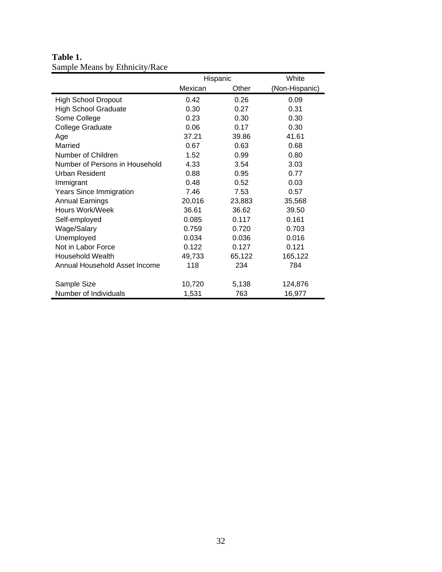## **Table 1.**  Sample Means by Ethnicity/Race

|                                |         | Hispanic | White          |  |  |
|--------------------------------|---------|----------|----------------|--|--|
|                                | Mexican | Other    | (Non-Hispanic) |  |  |
| <b>High School Dropout</b>     | 0.42    | 0.26     | 0.09           |  |  |
| <b>High School Graduate</b>    | 0.30    | 0.27     | 0.31           |  |  |
| Some College                   | 0.23    | 0.30     | 0.30           |  |  |
| <b>College Graduate</b>        | 0.06    | 0.17     | 0.30           |  |  |
| Age                            | 37.21   | 39.86    | 41.61          |  |  |
| Married                        | 0.67    | 0.63     | 0.68           |  |  |
| Number of Children             | 1.52    | 0.99     | 0.80           |  |  |
| Number of Persons in Household | 4.33    | 3.54     | 3.03           |  |  |
| Urban Resident                 | 0.88    | 0.95     | 0.77           |  |  |
| Immigrant                      | 0.48    | 0.52     | 0.03           |  |  |
| Years Since Immigration        | 7.46    | 7.53     | 0.57           |  |  |
| <b>Annual Earnings</b>         | 20,016  | 23,883   | 35,568         |  |  |
| Hours Work/Week                | 36.61   | 36.62    | 39.50          |  |  |
| Self-employed                  | 0.085   | 0.117    | 0.161          |  |  |
| Wage/Salary                    | 0.759   | 0.720    | 0.703          |  |  |
| Unemployed                     | 0.034   | 0.036    | 0.016          |  |  |
| Not in Labor Force             | 0.122   | 0.127    | 0.121          |  |  |
| <b>Household Wealth</b>        | 49,733  | 65,122   | 165,122        |  |  |
| Annual Household Asset Income  | 118     | 234      | 784            |  |  |
| Sample Size                    | 10,720  | 5,138    | 124,876        |  |  |
| Number of Individuals          | 1,531   | 763      | 16,977         |  |  |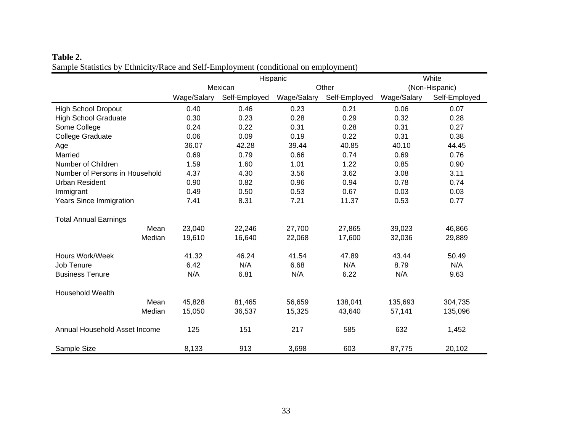| Table 2.                                                                            |
|-------------------------------------------------------------------------------------|
| Sample Statistics by Ethnicity/Race and Self-Employment (conditional on employment) |

|                                |             | Hispanic      | White       |               |             |                |
|--------------------------------|-------------|---------------|-------------|---------------|-------------|----------------|
|                                |             | Mexican       |             | Other         |             | (Non-Hispanic) |
|                                | Wage/Salary | Self-Employed | Wage/Salary | Self-Employed | Wage/Salary | Self-Employed  |
| <b>High School Dropout</b>     | 0.40        | 0.46          | 0.23        | 0.21          | 0.06        | 0.07           |
| <b>High School Graduate</b>    | 0.30        | 0.23          | 0.28        | 0.29          | 0.32        | 0.28           |
| Some College                   | 0.24        | 0.22          | 0.31        | 0.28          | 0.31        | 0.27           |
| College Graduate               | 0.06        | 0.09          | 0.19        | 0.22          | 0.31        | 0.38           |
| Age                            | 36.07       | 42.28         | 39.44       | 40.85         | 40.10       | 44.45          |
| Married                        | 0.69        | 0.79          | 0.66        | 0.74          | 0.69        | 0.76           |
| Number of Children             | 1.59        | 1.60          | 1.01        | 1.22          | 0.85        | 0.90           |
| Number of Persons in Household | 4.37        | 4.30          | 3.56        | 3.62          | 3.08        | 3.11           |
| <b>Urban Resident</b>          | 0.90        | 0.82          | 0.96        | 0.94          | 0.78        | 0.74           |
| Immigrant                      | 0.49        | 0.50          | 0.53        | 0.67          | 0.03        | 0.03           |
| <b>Years Since Immigration</b> | 7.41        | 8.31          | 7.21        | 11.37         | 0.53        | 0.77           |
| <b>Total Annual Earnings</b>   |             |               |             |               |             |                |
| Mean                           | 23,040      | 22,246        | 27,700      | 27,865        | 39,023      | 46,866         |
| Median                         | 19,610      | 16,640        | 22,068      | 17,600        | 32,036      | 29,889         |
| Hours Work/Week                | 41.32       | 46.24         | 41.54       | 47.89         | 43.44       | 50.49          |
| Job Tenure                     | 6.42        | N/A           | 6.68        | N/A           | 8.79        | N/A            |
| <b>Business Tenure</b>         | N/A         | 6.81          | N/A         | 6.22          | N/A         | 9.63           |
| Household Wealth               |             |               |             |               |             |                |
| Mean                           | 45,828      | 81,465        | 56,659      | 138,041       | 135,693     | 304,735        |
| Median                         | 15,050      | 36,537        | 15,325      | 43,640        | 57,141      | 135,096        |
| Annual Household Asset Income  | 125         | 151           | 217         | 585           | 632         | 1,452          |
| Sample Size                    | 8,133       | 913           | 3,698       | 603           | 87,775      | 20,102         |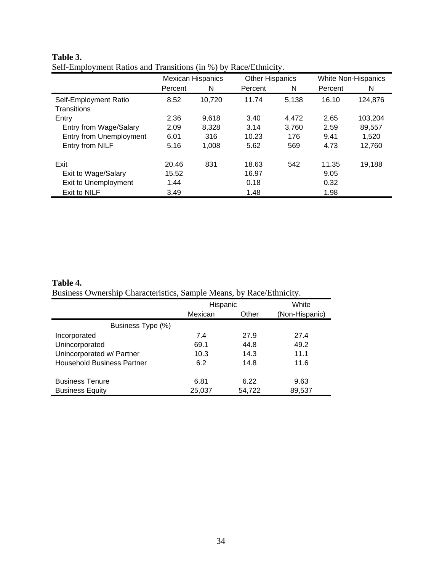|                                      | <b>Mexican Hispanics</b> |        | <b>Other Hispanics</b> |       | White Non-Hispanics |         |  |
|--------------------------------------|--------------------------|--------|------------------------|-------|---------------------|---------|--|
|                                      | Percent                  | N      | Percent                | N     | Percent             | N       |  |
| Self-Employment Ratio<br>Transitions | 8.52                     | 10,720 | 11.74                  | 5,138 | 16.10               | 124,876 |  |
| Entry                                | 2.36                     | 9,618  | 3.40                   | 4.472 | 2.65                | 103,204 |  |
| Entry from Wage/Salary               | 2.09                     | 8,328  | 3.14                   | 3.760 | 2.59                | 89,557  |  |
| Entry from Unemployment              | 6.01                     | 316    | 10.23                  | 176   | 9.41                | 1,520   |  |
| Entry from NILF                      | 5.16                     | 1.008  | 5.62                   | 569   | 4.73                | 12,760  |  |
| Exit                                 | 20.46                    | 831    | 18.63                  | 542   | 11.35               | 19,188  |  |
| Exit to Wage/Salary                  | 15.52                    |        | 16.97                  |       | 9.05                |         |  |
| Exit to Unemployment                 | 1.44                     |        | 0.18                   |       | 0.32                |         |  |
| Exit to NILF                         | 3.49                     |        | 1.48                   |       | 1.98                |         |  |

#### **Table 3.**  Self-Employment Ratios and Transitions (in %) by Race/Ethnicity.

### **Table 4.**  Business Ownership Characteristics, Sample Means, by Race/Ethnicity.

|                                   | Hispanic |        | White          |  |  |  |  |  |  |
|-----------------------------------|----------|--------|----------------|--|--|--|--|--|--|
|                                   | Mexican  | Other  | (Non-Hispanic) |  |  |  |  |  |  |
| Business Type (%)                 |          |        |                |  |  |  |  |  |  |
| Incorporated                      | 7.4      | 27.9   | 27.4           |  |  |  |  |  |  |
| Unincorporated                    | 69.1     | 44.8   | 49.2           |  |  |  |  |  |  |
| Unincorporated w/ Partner         | 10.3     | 14.3   | 11.1           |  |  |  |  |  |  |
| <b>Household Business Partner</b> | 6.2      | 14.8   | 11.6           |  |  |  |  |  |  |
| <b>Business Tenure</b>            | 6.81     | 6.22   | 9.63           |  |  |  |  |  |  |
| <b>Business Equity</b>            | 25,037   | 54,722 | 89,537         |  |  |  |  |  |  |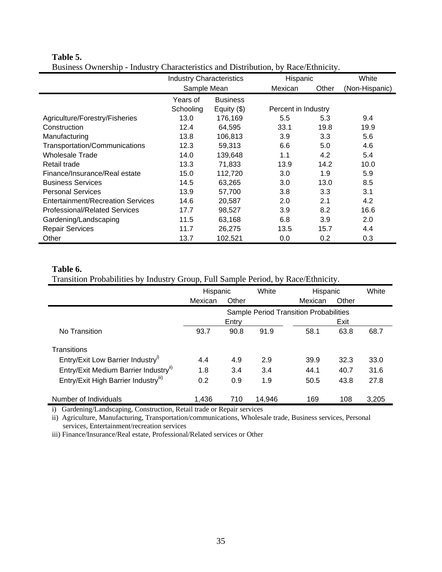|                                          | <b>Industry Characteristics</b> |             | Hispanic            |       | White          |
|------------------------------------------|---------------------------------|-------------|---------------------|-------|----------------|
|                                          | Sample Mean                     |             | Mexican             | Other | (Non-Hispanic) |
|                                          | <b>Business</b><br>Years of     |             |                     |       |                |
|                                          | Schooling                       | Equity (\$) | Percent in Industry |       |                |
| Agriculture/Forestry/Fisheries           | 13.0                            | 176,169     | 5.5                 | 5.3   | 9.4            |
| Construction                             | 12.4                            | 64,595      | 33.1                | 19.8  | 19.9           |
| Manufacturing                            | 13.8                            | 106,813     | 3.9                 | 3.3   | 5.6            |
| Transportation/Communications            | 12.3                            | 59,313      | 6.6                 | 5.0   | 4.6            |
| Wholesale Trade                          | 14.0                            | 139,648     | 1.1                 | 4.2   | 5.4            |
| Retail trade                             | 13.3                            | 71,833      | 13.9                | 14.2  | 10.0           |
| Finance/Insurance/Real estate            | 15.0                            | 112,720     | 3.0                 | 1.9   | 5.9            |
| <b>Business Services</b>                 | 14.5                            | 63,265      | 3.0                 | 13.0  | 8.5            |
| <b>Personal Services</b>                 | 13.9                            | 57,700      | 3.8                 | 3.3   | 3.1            |
| <b>Entertainment/Recreation Services</b> | 14.6                            | 20,587      | 2.0                 | 2.1   | 4.2            |
| <b>Professional/Related Services</b>     | 17.7                            | 98,527      | 3.9                 | 8.2   | 16.6           |
| Gardening/Landscaping                    | 11.5                            | 63,168      | 6.8                 | 3.9   | 2.0            |
| <b>Repair Services</b>                   | 11.7                            | 26,275      | 13.5                | 15.7  | 4.4            |
| Other                                    | 13.7                            | 102,521     | 0.0                 | 0.2   | 0.3            |

#### **Table 5.**

j,

Business Ownership - Industry Characteristics and Distribution, by Race/Ethnicity.

#### **Table 6.**

Transition Probabilities by Industry Group, Full Sample Period, by Race/Ethnicity.

|                                               | Hispanic                               |       | White  | Hispanic |       | White |
|-----------------------------------------------|----------------------------------------|-------|--------|----------|-------|-------|
|                                               | Mexican                                | Other |        | Mexican  | Other |       |
|                                               | Sample Period Transition Probabilities |       |        |          |       |       |
|                                               |                                        | Entry |        |          | Exit  |       |
| No Transition                                 | 93.7                                   | 90.8  | 91.9   | 58.1     | 63.8  | 68.7  |
| Transitions                                   |                                        |       |        |          |       |       |
| Entry/Exit Low Barrier Industry <sup>i)</sup> | 4.4                                    | 4.9   | 2.9    | 39.9     | 32.3  | 33.0  |
| Entry/Exit Medium Barrier Industryii)         | 1.8                                    | 3.4   | 3.4    | 44.1     | 40.7  | 31.6  |
| Entry/Exit High Barrier Industryiii)          | 0.2                                    | 0.9   | 1.9    | 50.5     | 43.8  | 27.8  |
| Number of Individuals                         | 1.436                                  | 710   | 14.946 | 169      | 108   | 3,205 |

i) Gardening/Landscaping, Construction, Retail trade or Repair services

ii) Agriculture, Manufacturing, Transportation/communications, Wholesale trade, Business services, Personal services, Entertainment/recreation services

iii) Finance/Insurance/Real estate, Professional/Related services or Other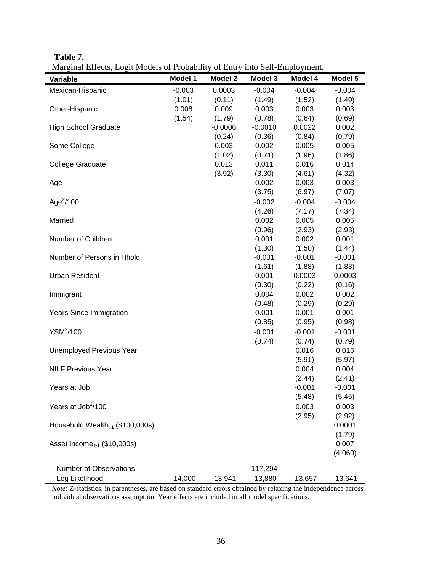| m<br>٦ι<br>л<br>π |
|-------------------|
|-------------------|

Marginal Effects, Logit Models of Probability of Entry into Self-Employment.

| $-0.003$<br>0.0003<br>$-0.004$<br>$-0.004$<br>Mexican-Hispanic<br>$-0.004$<br>(1.01)<br>(0.11)<br>(1.49)<br>(1.52)<br>(1.49)<br>0.008<br>0.009<br>0.003<br>0.003<br>0.003<br>Other-Hispanic<br>(1.54)<br>(1.79)<br>(0.78)<br>(0.64)<br>(0.69) |  |
|-----------------------------------------------------------------------------------------------------------------------------------------------------------------------------------------------------------------------------------------------|--|
|                                                                                                                                                                                                                                               |  |
|                                                                                                                                                                                                                                               |  |
|                                                                                                                                                                                                                                               |  |
|                                                                                                                                                                                                                                               |  |
| <b>High School Graduate</b><br>$-0.0006$<br>$-0.0010$<br>0.0022<br>0.002                                                                                                                                                                      |  |
| (0.24)<br>(0.36)<br>(0.84)<br>(0.79)                                                                                                                                                                                                          |  |
| 0.003<br>0.005<br>0.005<br>Some College<br>0.002                                                                                                                                                                                              |  |
| (1.02)<br>(0.71)<br>(1.96)<br>(1.86)                                                                                                                                                                                                          |  |
| 0.013<br><b>College Graduate</b><br>0.011<br>0.016<br>0.014                                                                                                                                                                                   |  |
| (3.92)<br>(3.30)<br>(4.61)<br>(4.32)                                                                                                                                                                                                          |  |
| 0.003<br>0.002<br>0.003<br>Age                                                                                                                                                                                                                |  |
| (3.75)<br>(6.97)<br>(7.07)                                                                                                                                                                                                                    |  |
| Age $^{2}/100$<br>$-0.002$<br>$-0.004$<br>$-0.004$                                                                                                                                                                                            |  |
| (4.26)<br>(7.17)<br>(7.34)                                                                                                                                                                                                                    |  |
| Married<br>0.002<br>0.005<br>0.005                                                                                                                                                                                                            |  |
| (0.96)<br>(2.93)<br>(2.93)                                                                                                                                                                                                                    |  |
| Number of Children<br>0.001<br>0.002<br>0.001                                                                                                                                                                                                 |  |
| (1.30)<br>(1.50)<br>(1.44)                                                                                                                                                                                                                    |  |
| Number of Persons in Hhold<br>$-0.001$<br>$-0.001$<br>$-0.001$                                                                                                                                                                                |  |
| (1.61)<br>(1.88)<br>(1.83)                                                                                                                                                                                                                    |  |
| <b>Urban Resident</b><br>0.001<br>0.0003<br>0.0003                                                                                                                                                                                            |  |
| (0.30)<br>(0.22)<br>(0.16)                                                                                                                                                                                                                    |  |
| 0.004<br>0.002<br>0.002<br>Immigrant                                                                                                                                                                                                          |  |
| (0.48)<br>(0.29)<br>(0.29)                                                                                                                                                                                                                    |  |
| 0.001<br><b>Years Since Immigration</b><br>0.001<br>0.001                                                                                                                                                                                     |  |
| (0.85)<br>(0.98)<br>(0.95)                                                                                                                                                                                                                    |  |
| YSM <sup>2</sup> /100<br>$-0.001$<br>$-0.001$<br>$-0.001$                                                                                                                                                                                     |  |
| (0.74)<br>(0.74)<br>(0.79)                                                                                                                                                                                                                    |  |
| 0.016<br><b>Unemployed Previous Year</b><br>0.016                                                                                                                                                                                             |  |
| (5.91)<br>(5.97)                                                                                                                                                                                                                              |  |
| <b>NILF Previous Year</b><br>0.004<br>0.004                                                                                                                                                                                                   |  |
| (2.44)<br>(2.41)                                                                                                                                                                                                                              |  |
| Years at Job<br>$-0.001$<br>$-0.001$<br>(5.48)<br>(5.45)                                                                                                                                                                                      |  |
| Years at Job <sup>2</sup> /100                                                                                                                                                                                                                |  |
| 0.003<br>0.003                                                                                                                                                                                                                                |  |
| (2.95)<br>(2.92)                                                                                                                                                                                                                              |  |
| 0.0001<br>Household Wealth $_{t-1}$ (\$100,000s)<br>(1.79)                                                                                                                                                                                    |  |
| Asset Income $_{t-1}$ (\$10,000s)<br>0.007                                                                                                                                                                                                    |  |
| (4.060)                                                                                                                                                                                                                                       |  |
|                                                                                                                                                                                                                                               |  |
| Number of Observations<br>117,294                                                                                                                                                                                                             |  |
| Log Likelihood<br>$-14,000$<br>$-13,880$<br>$-13,941$<br>$-13,657$<br>$-13,641$                                                                                                                                                               |  |

*Note*: Z-statistics, in parentheses, are based on standard errors obtained by relaxing the independence across individual observations assumption. Year effects are included in all model specifications.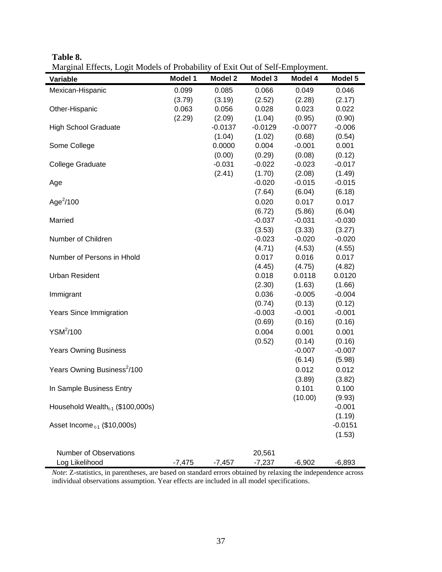**Table 8.** 

Marginal Effects, Logit Models of Probability of Exit Out of Self-Employment.

| Variable                                | Model 1  | <b>Model 2</b> | Model 3         | Model 4          | Model 5          |
|-----------------------------------------|----------|----------------|-----------------|------------------|------------------|
| Mexican-Hispanic                        | 0.099    | 0.085          | 0.066           | 0.049            | 0.046            |
|                                         | (3.79)   | (3.19)         | (2.52)          | (2.28)           | (2.17)           |
| Other-Hispanic                          | 0.063    | 0.056          | 0.028           | 0.023            | 0.022            |
|                                         | (2.29)   | (2.09)         | (1.04)          | (0.95)           | (0.90)           |
| <b>High School Graduate</b>             |          | $-0.0137$      | $-0.0129$       | $-0.0077$        | $-0.006$         |
|                                         |          | (1.04)         | (1.02)          | (0.68)           | (0.54)           |
| Some College                            |          | 0.0000         | 0.004           | $-0.001$         | 0.001            |
|                                         |          | (0.00)         | (0.29)          | (0.08)           | (0.12)           |
| <b>College Graduate</b>                 |          | $-0.031$       | $-0.022$        | $-0.023$         | $-0.017$         |
|                                         |          | (2.41)         | (1.70)          | (2.08)           | (1.49)           |
| Age                                     |          |                | $-0.020$        | $-0.015$         | $-0.015$         |
|                                         |          |                | (7.64)          | (6.04)           | (6.18)           |
| Age $^{2}/100$                          |          |                | 0.020           | 0.017            | 0.017            |
|                                         |          |                | (6.72)          | (5.86)           | (6.04)           |
| Married                                 |          |                | $-0.037$        | $-0.031$         | $-0.030$         |
|                                         |          |                | (3.53)          | (3.33)           | (3.27)           |
| Number of Children                      |          |                | $-0.023$        | $-0.020$         | $-0.020$         |
|                                         |          |                | (4.71)          | (4.53)           | (4.55)           |
| Number of Persons in Hhold              |          |                | 0.017           | 0.016            | 0.017            |
| <b>Urban Resident</b>                   |          |                | (4.45)<br>0.018 | (4.75)<br>0.0118 | (4.82)<br>0.0120 |
|                                         |          |                | (2.30)          | (1.63)           | (1.66)           |
| Immigrant                               |          |                | 0.036           | $-0.005$         | $-0.004$         |
|                                         |          |                | (0.74)          | (0.13)           | (0.12)           |
| <b>Years Since Immigration</b>          |          |                | $-0.003$        | $-0.001$         | $-0.001$         |
|                                         |          |                | (0.69)          | (0.16)           | (0.16)           |
| YSM <sup>2</sup> /100                   |          |                | 0.004           | 0.001            | 0.001            |
|                                         |          |                | (0.52)          | (0.14)           | (0.16)           |
| <b>Years Owning Business</b>            |          |                |                 | $-0.007$         | $-0.007$         |
|                                         |          |                |                 | (6.14)           | (5.98)           |
| Years Owning Business <sup>2</sup> /100 |          |                |                 | 0.012            | 0.012            |
|                                         |          |                |                 | (3.89)           | (3.82)           |
| In Sample Business Entry                |          |                |                 | 0.101            | 0.100            |
|                                         |          |                |                 | (10.00)          | (9.93)           |
| Household Wealth $_{t-1}$ (\$100,000s)  |          |                |                 |                  | $-0.001$         |
|                                         |          |                |                 |                  | (1.19)           |
| Asset Income $_{t-1}$ (\$10,000s)       |          |                |                 |                  | $-0.0151$        |
|                                         |          |                |                 |                  | (1.53)           |
|                                         |          |                |                 |                  |                  |
| <b>Number of Observations</b>           |          |                | 20,561          |                  |                  |
| Log Likelihood                          | $-7,475$ | $-7,457$       | $-7,237$        | $-6,902$         | $-6,893$         |

*Note*: Z-statistics, in parentheses, are based on standard errors obtained by relaxing the independence across individual observations assumption. Year effects are included in all model specifications.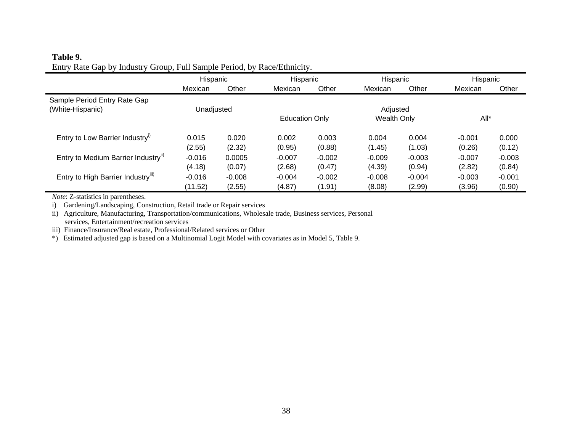## **Table 9.**  Entry Rate Gap by Industry Group, Full Sample Period, by Race/Ethnicity.

|                                             | Hispanic           |                    | Hispanic              |                    | Hispanic           |                    | Hispanic           |                    |
|---------------------------------------------|--------------------|--------------------|-----------------------|--------------------|--------------------|--------------------|--------------------|--------------------|
|                                             | Mexican            | Other              | Mexican               | Other              | Mexican            | Other              | Mexican            | Other              |
| Sample Period Entry Rate Gap                |                    |                    |                       |                    |                    |                    |                    |                    |
| (White-Hispanic)                            | Unadjusted         |                    |                       |                    | Adjusted           |                    |                    |                    |
|                                             |                    |                    | <b>Education Only</b> |                    | <b>Wealth Only</b> |                    | $All^*$            |                    |
| Entry to Low Barrier Industry <sup>11</sup> | 0.015              | 0.020              | 0.002                 | 0.003              | 0.004              | 0.004              | $-0.001$           | 0.000              |
| Entry to Medium Barrier Industry"           | (2.55)<br>$-0.016$ | (2.32)<br>0.0005   | (0.95)<br>$-0.007$    | (0.88)<br>$-0.002$ | (1.45)<br>$-0.009$ | (1.03)<br>$-0.003$ | (0.26)<br>$-0.007$ | (0.12)<br>$-0.003$ |
| Entry to High Barrier Industry"             | (4.18)<br>$-0.016$ | (0.07)<br>$-0.008$ | (2.68)<br>$-0.004$    | (0.47)<br>$-0.002$ | (4.39)<br>$-0.008$ | (0.94)<br>$-0.004$ | (2.82)<br>$-0.003$ | (0.84)<br>$-0.001$ |
|                                             | (11.52)            | (2.55)             | (4.87)                | (1.91)             | (8.08)             | (2.99)             | (3.96)             | (0.90)             |

*Note*: Z-statistics in parentheses.

×

i) Gardening/Landscaping, Construction, Retail trade or Repair services

ii) Agriculture, Manufacturing, Transportation/communications, Wholesale trade, Business services, Personal services, Entertainment/recreation services

iii) Finance/Insurance/Real estate, Professional/Related services or Other

\*) Estimated adjusted gap is based on a Multinomial Logit Model with covariates as in Model 5, Table 9.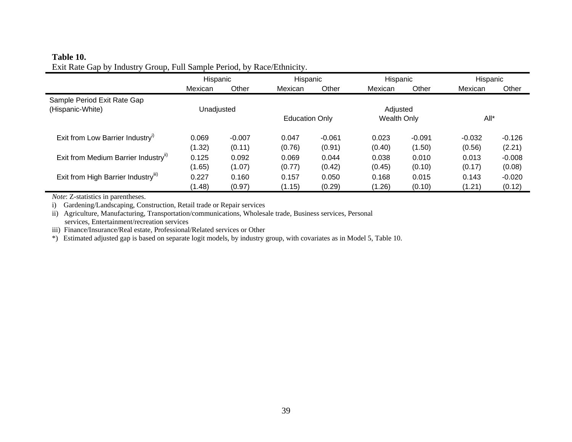## **Table 10.** Exit Rate Gap by Industry Group, Full Sample Period, by Race/Ethnicity.

|                                                  | Hispanic   |          | Hispanic              |          | Hispanic    |          | Hispanic |          |
|--------------------------------------------------|------------|----------|-----------------------|----------|-------------|----------|----------|----------|
|                                                  | Mexican    | Other    | Mexican               | Other    | Mexican     | Other    | Mexican  | Other    |
| Sample Period Exit Rate Gap                      |            |          |                       |          |             |          |          |          |
| (Hispanic-White)                                 | Unadjusted |          |                       |          | Adjusted    |          |          |          |
|                                                  |            |          | <b>Education Only</b> |          | Wealth Only |          | All*     |          |
| Exit from Low Barrier Industry <sup>11</sup>     | 0.069      | $-0.007$ | 0.047                 | $-0.061$ | 0.023       | $-0.091$ | $-0.032$ | $-0.126$ |
|                                                  | (1.32)     | (0.11)   | (0.76)                | (0.91)   | (0.40)      | (1.50)   | (0.56)   | (2.21)   |
| Exit from Medium Barrier Industry <sup>11)</sup> | 0.125      | 0.092    | 0.069                 | 0.044    | 0.038       | 0.010    | 0.013    | $-0.008$ |
|                                                  | (1.65)     | (1.07)   | (0.77)                | (0.42)   | (0.45)      | (0.10)   | (0.17)   | (0.08)   |
| Exit from High Barrier Industry"                 | 0.227      | 0.160    | 0.157                 | 0.050    | 0.168       | 0.015    | 0.143    | $-0.020$ |
|                                                  | (1.48)     | (0.97)   | (1.15)                | (0.29)   | (1.26)      | (0.10)   | (1.21)   | (0.12)   |

*Note*: Z-statistics in parentheses.

i) Gardening/Landscaping, Construction, Retail trade or Repair services

ii) Agriculture, Manufacturing, Transportation/communications, Wholesale trade, Business services, Personal services, Entertainment/recreation services

iii) Finance/Insurance/Real estate, Professional/Related services or Other

\*) Estimated adjusted gap is based on separate logit models, by industry group, with covariates as in Model 5, Table 10.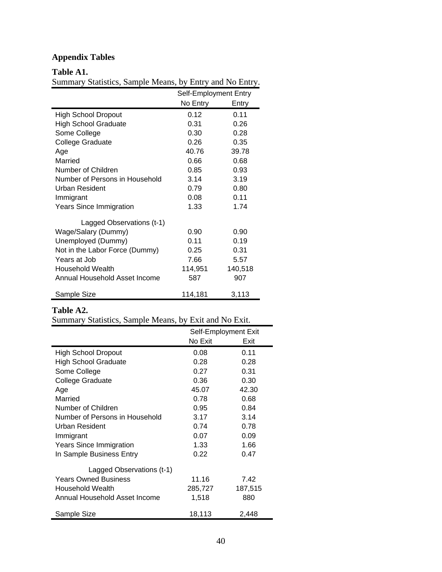# **Appendix Tables**

## **Table A1.**

Summary Statistics, Sample Means, by Entry and No Entry.

|                                | Self-Employment Entry |         |
|--------------------------------|-----------------------|---------|
|                                | No Entry              | Entry   |
| <b>High School Dropout</b>     | 0.12                  | 0.11    |
| <b>High School Graduate</b>    | 0.31                  | 0.26    |
| Some College                   | 0.30                  | 0.28    |
| <b>College Graduate</b>        | 0.26                  | 0.35    |
| Age                            | 40.76                 | 39.78   |
| Married                        | 0.66                  | 0.68    |
| Number of Children             | 0.85                  | 0.93    |
| Number of Persons in Household | 3.14                  | 3.19    |
| Urban Resident                 | 0.79                  | 0.80    |
| Immigrant                      | 0.08                  | 0.11    |
| <b>Years Since Immigration</b> | 1.33                  | 1.74    |
| Lagged Observations (t-1)      |                       |         |
| Wage/Salary (Dummy)            | 0.90                  | 0.90    |
| Unemployed (Dummy)             | 0.11                  | 0.19    |
| Not in the Labor Force (Dummy) | 0.25                  | 0.31    |
| Years at Job                   | 7.66                  | 5.57    |
| Household Wealth               | 114,951               | 140,518 |
| Annual Household Asset Income  | 587                   | 907     |
| Sample Size                    | 114,181               | 3,113   |

# **Table A2.**

|  |  |  | Summary Statistics, Sample Means, by Exit and No Exit. |
|--|--|--|--------------------------------------------------------|
|--|--|--|--------------------------------------------------------|

|                                | Self-Employment Exit |         |
|--------------------------------|----------------------|---------|
|                                | No Exit              | Exit    |
| <b>High School Dropout</b>     | 0.08                 | 0.11    |
| <b>High School Graduate</b>    | 0.28                 | 0.28    |
| Some College                   | 0.27                 | 0.31    |
| <b>College Graduate</b>        | 0.36                 | 0.30    |
| Age                            | 45.07                | 42.30   |
| Married                        | 0.78                 | 0.68    |
| Number of Children             | 0.95                 | 0.84    |
| Number of Persons in Household | 3.17                 | 3.14    |
| Urban Resident                 | 0.74                 | 0.78    |
| Immigrant                      | 0.07                 | 0.09    |
| <b>Years Since Immigration</b> | 1.33                 | 1.66    |
| In Sample Business Entry       | 0.22                 | 0.47    |
| Lagged Observations (t-1)      |                      |         |
| <b>Years Owned Business</b>    | 11.16                | 7.42    |
| Household Wealth               | 285,727              | 187,515 |
| Annual Household Asset Income  | 1,518                | 880     |
| Sample Size                    | 18,113               | 2,448   |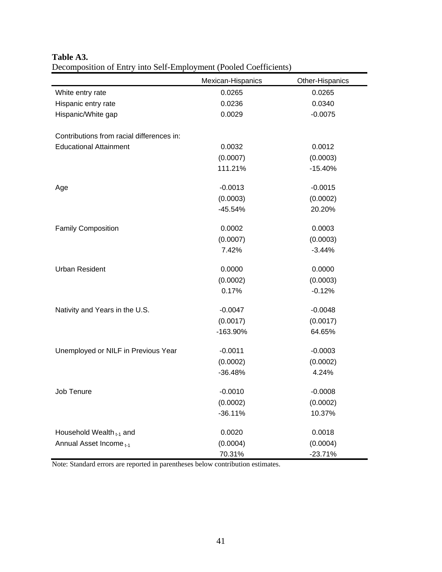| $\alpha$ , $\alpha$ , $\alpha$ , $\alpha$ , $\alpha$ , $\alpha$ , $\alpha$ , $\alpha$ , $\alpha$ , $\alpha$ , $\alpha$ , $\alpha$ , $\alpha$ , $\alpha$ , $\alpha$ , $\alpha$ , $\alpha$ | Mexican-Hispanics | Other-Hispanics |
|------------------------------------------------------------------------------------------------------------------------------------------------------------------------------------------|-------------------|-----------------|
| White entry rate                                                                                                                                                                         | 0.0265            | 0.0265          |
| Hispanic entry rate                                                                                                                                                                      | 0.0236            | 0.0340          |
| Hispanic/White gap                                                                                                                                                                       | 0.0029            | $-0.0075$       |
|                                                                                                                                                                                          |                   |                 |
| Contributions from racial differences in:                                                                                                                                                |                   |                 |
| <b>Educational Attainment</b>                                                                                                                                                            | 0.0032            | 0.0012          |
|                                                                                                                                                                                          | (0.0007)          | (0.0003)        |
|                                                                                                                                                                                          | 111.21%           | $-15.40%$       |
| Age                                                                                                                                                                                      | $-0.0013$         | $-0.0015$       |
|                                                                                                                                                                                          | (0.0003)          | (0.0002)        |
|                                                                                                                                                                                          | $-45.54%$         | 20.20%          |
| <b>Family Composition</b>                                                                                                                                                                | 0.0002            | 0.0003          |
|                                                                                                                                                                                          | (0.0007)          | (0.0003)        |
|                                                                                                                                                                                          | 7.42%             | $-3.44%$        |
| <b>Urban Resident</b>                                                                                                                                                                    | 0.0000            | 0.0000          |
|                                                                                                                                                                                          | (0.0002)          | (0.0003)        |
|                                                                                                                                                                                          | 0.17%             | $-0.12%$        |
|                                                                                                                                                                                          |                   |                 |
| Nativity and Years in the U.S.                                                                                                                                                           | $-0.0047$         | $-0.0048$       |
|                                                                                                                                                                                          | (0.0017)          | (0.0017)        |
|                                                                                                                                                                                          | -163.90%          | 64.65%          |
| Unemployed or NILF in Previous Year                                                                                                                                                      | $-0.0011$         | $-0.0003$       |
|                                                                                                                                                                                          | (0.0002)          | (0.0002)        |
|                                                                                                                                                                                          | $-36.48%$         | 4.24%           |
| Job Tenure                                                                                                                                                                               | $-0.0010$         | $-0.0008$       |
|                                                                                                                                                                                          | (0.0002)          | (0.0002)        |
|                                                                                                                                                                                          | $-36.11%$         | 10.37%          |
|                                                                                                                                                                                          |                   |                 |
| Household Wealth <sub>t-1</sub> and                                                                                                                                                      | 0.0020            | 0.0018          |
| Annual Asset Income <sub>t-1</sub>                                                                                                                                                       | (0.0004)          | (0.0004)        |
|                                                                                                                                                                                          | 70.31%            | $-23.71%$       |

## **Table A3.**  Decomposition of Entry into Self-Employment (Pooled Coefficients)

Note: Standard errors are reported in parentheses below contribution estimates.